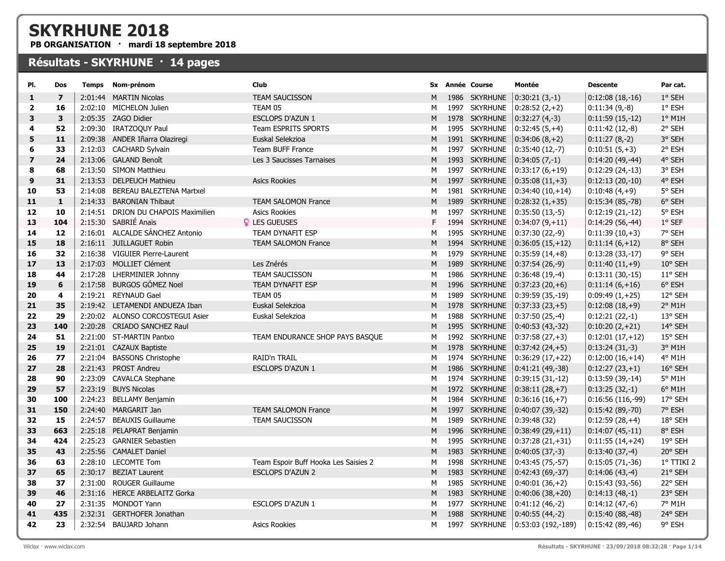## SKYRHUNE 2018

PB ORGANISATION · mardi 18 septembre 2018

## Résultats - SKYRHUNE · 14 pages

| PI.            | Dos            | <b>Temps</b> | Nom-prénom                          | Club                                 | Sx |      | <b>Année Course</b> | Montée                             | <b>Descente</b>     | Par cat.        |
|----------------|----------------|--------------|-------------------------------------|--------------------------------------|----|------|---------------------|------------------------------------|---------------------|-----------------|
| 1              | $\overline{7}$ |              | 2:01:44 MARTIN Nicolas              | <b>TEAM SAUCISSON</b>                | M  |      | 1986 SKYRHUNE       | $0:30:21(3,-1)$                    | $0:12:08(18,-16)$   | 1° SEH          |
| $\overline{2}$ | 16             |              | 2:02:10 MICHELON Julien             | TEAM 05                              | M  |      | 1997 SKYRHUNE       | $0:28:52(2,+2)$                    | $0:11:34(9,-8)$     | 1° ESH          |
| 3              | $\mathbf{3}$   |              | 2:05:35 ZAGO Didier                 | <b>ESCLOPS D'AZUN 1</b>              | M  |      | 1978 SKYRHUNE       | $ 0:32:27(4,-3) $                  | $ 0:11:59(15,-12) $ | $1°$ M1H        |
| 4              | 52             |              | 2:09:30 IRATZOQUY Paul              | <b>Team ESPRITS SPORTS</b>           | м  |      | 1995 SKYRHUNE       | $0:32:45(5,+4)$                    | $0:11:42(12,-8)$    | 2° SEH          |
| 5              | 11             |              | 2:09:38 ANDER Iñarra Olaziregi      | Euskal Selekzioa                     | M  |      | 1991 SKYRHUNE       | $ 0:34:06(8,+2) $                  | $0:11:27(8,-2)$     | 3° SEH          |
| 6              | 33             |              | 2:12:03 CACHARD Sylvain             | <b>Team BUFF France</b>              | M  |      | 1997 SKYRHUNE       | $ 0:35:40(12,-7) $                 | $0:10:51(5,+3)$     | 2° ESH          |
| $\overline{ }$ | 24             |              | 2:13:06 GALAND Benoît               | Les 3 Saucisses Tarnaises            | M  |      | 1993 SKYRHUNE       | $0:34:05(7,-1)$                    | $ 0:14:20(49,-44)$  | 4° SEH          |
| 8              | 68             |              | 2:13:50 SIMON Matthieu              |                                      | M  |      | 1997 SKYRHUNE       | $0:33:17(6,+19)$                   | $0:12:29(24,-13)$   | 3° ESH          |
| 9              | 31             |              | 2:13:53 DELPEUCH Mathieu            | <b>Asics Rookies</b>                 | M  |      | 1997 SKYRHUNE       | $ 0:35:08(11,+3) $                 | $ 0:12:13(20,-10) $ | 4° ESH          |
| 10             | 53             | 2:14:08      | BEREAU BALEZTENA Martxel            |                                      | M  |      | 1981 SKYRHUNE       | $0:34:40(10,+14)$                  | $0:10:48(4,+9)$     | 5° SEH          |
| 11             | $\mathbf{1}$   | 2:14:33      | <b>BARONIAN Thibaut</b>             | <b>TEAM SALOMON France</b>           | M  |      | 1989 SKYRHUNE       | $0:28:32(1,+35)$                   | $0:15:34(85,-78)$   | 6° SEH          |
| 12             | 10             |              | 2:14:51 DRION DU CHAPOIS Maximilien | <b>Asics Rookies</b>                 | М  | 1997 | <b>SKYRHUNE</b>     | $0:35:50(13,-5)$                   | $0:12:19(21,-12)$   | 5° ESH          |
| 13             | 104            |              | 2:15:30 SABRIÉ Anaïs                | <b>Q</b> LES GUEUSES                 | F. |      | 1994 SKYRHUNE       | $ 0:34:07(9,+11) $                 | $ 0:14:29(56,-44)$  | 1° SEF          |
| 14             | 12             |              | 2:16:01 ALCALDE SÁNCHEZ Antonio     | <b>TEAM DYNAFIT ESP</b>              | м  |      | 1995 SKYRHUNE       | $0:37:30(22,-9)$                   | $0:11:39(10,+3)$    | 7° SEH          |
| 15             | 18             |              | 2:16:11 JUILLAGUET Robin            | <b>TEAM SALOMON France</b>           | M  |      | 1994 SKYRHUNE       | $ 0:36:05(15,+12) $                | $ 0:11:14(6,+12) $  | 8° SEH          |
| 16             | 32             |              | 2:16:38 VIGUIER Pierre-Laurent      |                                      | M  |      | 1979 SKYRHUNE       | $0:35:59(14,+8)$                   | $0:13:28(33,-17)$   | 9° SEH          |
| 17             | 13             |              | 2:17:03 MOLLIET Clément             | Les Znérés                           | M  |      | 1989 SKYRHUNE       | $ 0:37:54(26,-9) $                 | $0:11:40(11,+9)$    | 10° SEH         |
| 18             | 44             |              | 2:17:28 LHERMINIER Johnny           | <b>TEAM SAUCISSON</b>                | М  |      | 1986 SKYRHUNE       | $0:36:48(19,-4)$                   | $0:13:11(30,-15)$   | 11° SEH         |
| 19             | 6              |              | 2:17:58 BURGOS GÓMEZ Noel           | TEAM DYNAFIT ESP                     | M  |      | 1996 SKYRHUNE       | $ 0:37:23(20,+6) $                 | $ 0:11:14(6,+16) $  | 6° ESH          |
| 20             | 4              |              | 2:19:21 REYNAUD Gael                | TEAM 05                              | M  | 1989 | <b>SKYRHUNE</b>     | $ 0:39:59(35,-19) $                | $0:09:49(1,+25)$    | 12° SEH         |
| 21             | 35             |              | 2:19:42 LETAMENDI ANDUEZA Iban      | Euskal Selekzioa                     | M  |      | 1978 SKYRHUNE       | $0:37:33(23,+5)$                   | $0:12:08(18,+9)$    | 2° M1H          |
| 22             | 29             |              | 2:20:02 ALONSO CORCOSTEGUI Asier    | Euskal Selekzioa                     | М  |      | 1988 SKYRHUNE       | $0:37:50(25,-4)$                   | $0:12:21(22,-1)$    | 13° SEH         |
| 23             | 140            | 2:20:28      | <b>CRIADO SANCHEZ Raul</b>          |                                      | M  |      | 1995 SKYRHUNE       | $ 0:40:53(43,-32) $                | $ 0:10:20(2,+21) $  | 14° SEH         |
| 24             | 51             |              | 2:21:00 ST-MARTIN Pantxo            | TEAM ENDURANCE SHOP PAYS BASQUE      | М  |      | 1992 SKYRHUNE       | $0:37:58(27,+3)$                   | $0:12:01(17,+12)$   | 15° SEH         |
| 25             | 19             |              | 2:21:01 CAZAUX Baptiste             |                                      | M  |      | 1978 SKYRHUNE       | $0:37:42(24,+5)$                   | $0:13:24(31,-3)$    | 3° M1H          |
| 26             | 77             |              | 2:21:04 BASSONS Christophe          | RAID'n TRAIL                         | м  |      | 1974 SKYRHUNE       | $0:36:29(17,+22)$                  | $0:12:00(16,+14)$   | 4° M1H          |
| 27             | 28             |              | 2:21:43 PROST Andreu                | <b>ESCLOPS D'AZUN 1</b>              | M  |      | 1986 SKYRHUNE       | $ 0:41:21(49,-38) $                | $ 0:12:27(23,+1) $  | 16° SEH         |
| 28             | 90             |              | 2:23:09 CAVALCA Stephane            |                                      | м  |      | 1974 SKYRHUNE       | $0:39:15(31,-12)$                  | $ 0:13:59(39,-14) $ | 5° M1H          |
| 29             | 57             |              | 2:23:19 BUYS Nicolas                |                                      | M  |      | 1972 SKYRHUNE       | $ 0:38:11(28,+7) $                 | $ 0:13:25(32,-1) $  | $6^{\circ}$ M1H |
| 30             | 100            |              | 2:24:23 BELLAMY Benjamin            |                                      | М  |      | 1984 SKYRHUNE       | $0:36:16(16,+7)$                   | $0:16:56(116,-99)$  | 17° SEH         |
| 31             | 150            | 2:24:40      | MARGARIT Jan                        | <b>TEAM SALOMON France</b>           | M  |      | 1997 SKYRHUNE       | $0:40:07(39,-32)$                  | $0:15:42(89,-70)$   | 7° ESH          |
| 32             | 15             | 2:24:57      | <b>BEAUXIS Guillaume</b>            | <b>TEAM SAUCISSON</b>                | М  | 1989 | <b>SKYRHUNE</b>     | 0:39:48(32)                        | $0:12:59(28,+4)$    | 18° SEH         |
| 33             | 663            |              | 2:25:18 PELAPRAT Benjamin           |                                      | M  |      | 1996 SKYRHUNE       | $0:38:49(29,+11)$                  | $ 0:14:07(45,-11) $ | 8° ESH          |
| 34             | 424            |              | 2:25:23 GARNIER Sebastien           |                                      | м  |      | 1995 SKYRHUNE       | $0:37:28(21,+31)$                  | $0:11:55(14,+24)$   | 19° SEH         |
| 35             | 43             |              | 2:25:56 CAMALET Daniel              |                                      | M  |      | 1983 SKYRHUNE       | $0:40:05(37,-3)$                   | $0:13:40(37,-4)$    | 20° SEH         |
| 36             | 63             |              | 2:28:10 LECOMTE Tom                 | Team Espoir Buff Hooka Les Saisies 2 | М  |      | 1998 SKYRHUNE       | $0:43:45(75,-57)$                  | $0:15:05(71,-36)$   | 1° TTIKI 2      |
| 37             | 65             |              | 2:30:17 BEZIAT Laurent              | <b>ESCLOPS D'AZUN 2</b>              | M  |      | 1983 SKYRHUNE       | $ 0:42:43(69,-37) $                | $ 0:14:06(43,-4) $  | 21° SEH         |
| 38             | 37             |              | 2:31:00 ROUGER Guillaume            |                                      | м  |      | 1985 SKYRHUNE       | $0:40:01(36,+2)$                   | 0:15:43 (93,-56)    | 22° SEH         |
| 39             | 46             |              | 2:31:16 HERCE ARBELAITZ Gorka       |                                      | M  |      | 1983 SKYRHUNE       | $ 0:40:06(38,+20) $                | $ 0:14:13(48,-1) $  | 23° SEH         |
| 40             | 27             |              | 2:31:35 MONDOT Yann                 | <b>ESCLOPS D'AZUN 1</b>              | M  |      | 1977 SKYRHUNE       | $0:41:12(46,-2)$                   | $0:14:12(47,-6)$    | 7° M1H          |
| 41             | 435            |              | 2:32:31 GERTHOFER Jonathan          |                                      | M  |      | 1988 SKYRHUNE       | $0:40:55(44,-2)$                   | 0:15:40 (88,-48)    | 24° SEH         |
| 42             | 23             |              | 2:32:54 BAUJARD Johann              | <b>Asics Rookies</b>                 | м  |      |                     | 1997 SKYRHUNE   0:53:03 (192,-189) | $ 0:15:42(89,-46) $ | 9° ESH          |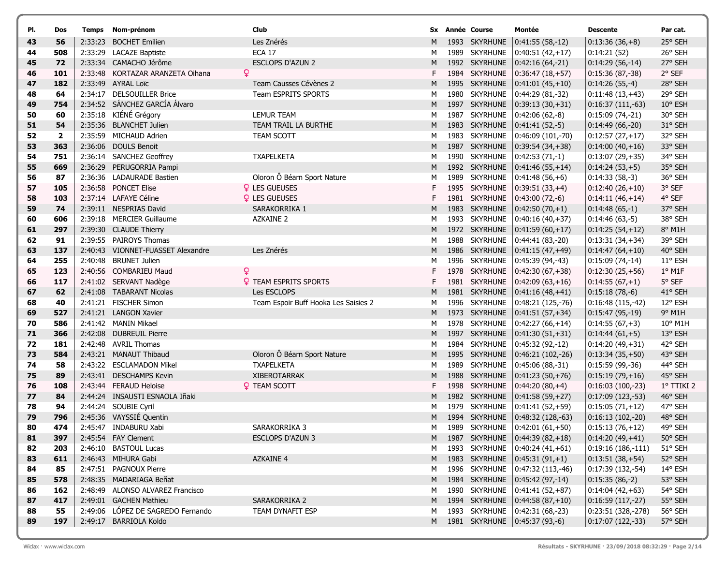| PI.      | Dos                     |         | Temps Nom-prénom                                    | Club                                 |        |      | Sx Année Course                  | Montée                                     | <b>Descente</b>                       | Par cat.           |
|----------|-------------------------|---------|-----------------------------------------------------|--------------------------------------|--------|------|----------------------------------|--------------------------------------------|---------------------------------------|--------------------|
| 43       | 56                      | 2:33:23 | <b>BOCHET Emilien</b>                               | Les Znérés                           | M      |      | 1993 SKYRHUNE                    | $ 0:41:55(58,-12) $                        | $0:13:36(36,+8)$                      | 25° SEH            |
| 44       | 508                     | 2:33:29 | <b>LACAZE Baptiste</b>                              | <b>ECA 17</b>                        | М      |      | 1989 SKYRHUNE                    | $ 0:40:51(42,+17) $                        | 0:14:21(52)                           | 26° SEH            |
| 45       | 72                      |         | 2:33:34 CAMACHO Jérôme                              | <b>ESCLOPS D'AZUN 2</b>              | M      |      | 1992 SKYRHUNE                    | $ 0:42:16(64,-21) $                        | $0:14:29(56,-14)$                     | 27° SEH            |
| 46       | 101                     |         | 2:33:48 KORTAZAR ARANZETA Oihana                    | Q                                    | F      |      | 1984 SKYRHUNE                    | $ 0:36:47(18,+57) $                        | $0:15:36(87,-38)$                     | 2° SEF             |
| 47       | 182                     |         | 2:33:49 AYRAL Loïc                                  | Team Causses Cévènes 2               | M      | 1995 | <b>SKYRHUNE</b>                  | $ 0:41:01(45,+10) $                        | $0:14:26(55,-4)$                      | 28° SEH            |
| 48       | 64                      | 2:34:17 | <b>DELSOUILLER Brice</b>                            | Team ESPRITS SPORTS                  | М      | 1980 | <b>SKYRHUNE</b>                  | $ 0:44:29(81,-32) $                        | $0:11:48(13,+43)$                     | 29° SEH            |
| 49       | 754                     |         | 2:34:52 SÁNCHEZ GARCÍA Álvaro                       |                                      | M      |      | 1997 SKYRHUNE                    | $ 0:39:13(30,+31) $                        | $0:16:37(111,-63)$                    | 10° ESH            |
| 50       | 60                      |         | 2:35:18 KIÉNÉ Grégory                               | <b>LEMUR TEAM</b>                    | M      | 1987 | <b>SKYRHUNE</b>                  | $ 0:42:06(62,-8) $                         | $0:15:09(74,-21)$                     | 30° SEH            |
| 51       | 54                      |         | 2:35:36 BLANCHET Julien                             | TEAM TRAIL LA BURTHE                 | M      |      | 1983 SKYRHUNE                    | $ 0:41:41(52,-5) $                         | $0:14:49(66,-20)$                     | 31° SEH            |
| 52       | $\overline{\mathbf{2}}$ |         | 2:35:59 MICHAUD Adrien                              | <b>TEAM SCOTT</b>                    | M      |      | 1983 SKYRHUNE                    | $ 0:46:09(101,-70) $                       | $0:12:57(27,+17)$                     | 32° SEH            |
| 53       | 363                     |         | 2:36:06 DOULS Benoit                                |                                      | M      |      | 1987 SKYRHUNE                    | $ 0:39:54(34,+38) $                        | $0:14:00(40,+16)$                     | 33° SEH            |
| 54       | 751                     |         | 2:36:14 SANCHEZ Geoffrey                            | <b>TXAPELKETA</b>                    | M      |      | 1990 SKYRHUNE                    | $ 0:42:53(71,-1) $                         | $0:13:07(29,+35)$                     | 34° SEH            |
| 55       | 669                     |         | 2:36:29 PERUGORRIA Pampi                            |                                      | M      |      | 1992 SKYRHUNE                    | $ 0:41:46(55,+14) $                        | $0:14:24(53,+5)$                      | 35° SEH            |
| 56       | 87                      |         | 2:36:36 LADAURADE Bastien                           | Oloron Ô Béarn Sport Nature          | М      |      | 1989 SKYRHUNE                    | $ 0:41:48(56,+6) $                         | $0:14:33(58,-3)$                      | 36° SEH            |
| 57       | 105                     |         | 2:36:58 PONCET Elise                                | <b>Q</b> LES GUEUSES                 | F      | 1995 | <b>SKYRHUNE</b>                  | $ 0:39:51(33,+4) $                         | $0:12:40(26,+10)$                     | 3° SEF             |
| 58       | 103                     |         | 2:37:14 LAFAYE Céline                               | <b>Q</b> LES GUEUSES                 | F      | 1981 | <b>SKYRHUNE</b>                  | $ 0:43:00(72,-6) $                         | $0:14:11(46,+14)$                     | 4° SEF             |
| 59       | 74                      |         | 2:39:11 NESPRIAS David                              | SARAKORRIKA 1                        | M      |      | 1983 SKYRHUNE                    | $ 0:42:50(70,+1) $                         | $0:14:48(65,-1)$                      | 37° SEH            |
| 60       | 606                     |         | 2:39:18 MERCIER Guillaume                           | <b>AZKAINE 2</b>                     | M      | 1993 | <b>SKYRHUNE</b>                  | $ 0:40:16(40,+37) $                        | $0:14:46(63,-5)$                      | 38° SEH            |
| 61       | 297                     |         | 2:39:30 CLAUDE Thierry                              |                                      | M      |      | 1972 SKYRHUNE                    | $ 0:41:59(60,+17) $                        | $0:14:25(54,+12)$                     | 8° M1H             |
| 62       | 91<br>137               |         | 2:39:55 PAIROYS Thomas<br>VIONNET-FUASSET Alexandre | Les Znérés                           | M      | 1986 | 1988 SKYRHUNE                    | $0:44:41(83,-20)$                          | $0:13:31(34,+34)$                     | 39° SEH            |
| 63<br>64 | 255                     | 2:40:43 | 2:40:48 BRUNET Julien                               |                                      | M      |      | <b>SKYRHUNE</b><br>1996 SKYRHUNE | $ 0:41:15(47,+49)$                         | $0:14:47(64,+10)$                     | 40° SEH<br>11° ESH |
|          | 123                     |         | 2:40:56 COMBARIEU Maud                              | Q                                    | М<br>F | 1978 | <b>SKYRHUNE</b>                  | $ 0:45:39(94,-43) $                        | $0:15:09(74,-14)$                     | $1°$ M1F           |
| 65<br>66 | 117                     |         | 2:41:02 SERVANT Nadège                              | <b>Q</b> TEAM ESPRITS SPORTS         | F      |      | 1981 SKYRHUNE                    | $ 0:42:30(67,+38) $<br>$ 0:42:09(63,+16) $ | $0:12:30(25,+56)$<br>$0:14:55(67,+1)$ | 5° SEF             |
| 67       | 62                      |         | 2:41:08 TABARANT Nicolas                            | Les ESCLOPS                          | M      | 1981 | <b>SKYRHUNE</b>                  | $ 0:41:16(48,+41)$                         | $0:15:18(78,-6)$                      | 41° SEH            |
| 68       | 40                      | 2:41:21 | FISCHER Simon                                       | Team Espoir Buff Hooka Les Saisies 2 | М      | 1996 | <b>SKYRHUNE</b>                  | $ 0:48:21(125,-76) $                       | $0:16:48(115,-42)$                    | 12° ESH            |
| 69       | 527                     |         | 2:41:21 LANGON Xavier                               |                                      | M      |      | 1973 SKYRHUNE                    | $ 0:41:51(57,+34) $                        | $0:15:47(95,-19)$                     | 9° M1H             |
| 70       | 586                     |         | 2:41:42 MANIN Mikael                                |                                      | M      |      | 1978 SKYRHUNE                    | $ 0:42:27(66,+14) $                        | $0:14:55(67,+3)$                      | 10° M1H            |
| 71       | 366                     |         | 2:42:08 DUBREUIL Pierre                             |                                      | M      |      | 1997 SKYRHUNE                    | $0:41:30(51,+31)$                          | $0:14:44(61,+5)$                      | 13° ESH            |
| 72       | 181                     |         | 2:42:48 AVRIL Thomas                                |                                      | М      |      | 1984 SKYRHUNE                    | $0:45:32(92,-12)$                          | $0:14:20(49,+31)$                     | 42° SEH            |
| 73       | 584                     |         | 2:43:21 MANAUT Thibaud                              | Oloron Ô Béarn Sport Nature          | M      |      | 1995 SKYRHUNE                    | $ 0:46:21(102,-26) $                       | $0:13:34(35,+50)$                     | 43° SEH            |
| 74       | 58                      |         | 2:43:22 ESCLAMADON Mikel                            | <b>TXAPELKETA</b>                    | М      | 1989 | <b>SKYRHUNE</b>                  | $ 0:45:06(88,-31) $                        | $0:15:59(99,-36)$                     | 44° SEH            |
| 75       | 89                      |         | 2:43:41 DESCHAMPS Kevin                             | <b>XIBEROTARRAK</b>                  | M      | 1988 | <b>SKYRHUNE</b>                  | $ 0:41:23(50,+76) $                        | $0:15:19(79,+16)$                     | 45° SEH            |
| 76       | 108                     |         | 2:43:44 FERAUD Heloise                              | <b>? TEAM SCOTT</b>                  | F      |      | 1998 SKYRHUNE                    | $ 0:44:20(80,+4) $                         | $0:16:03(100,-23)$                    | 1° TTIKI 2         |
| 77       | 84                      |         | 2:44:24 INSAUSTI ESNAOLA Iñaki                      |                                      | M      | 1982 | <b>SKYRHUNE</b>                  | $ 0:41:58(59,+27)$                         | $0:17:09(123,-53)$                    | 46° SEH            |
| 78       | 94                      |         | 2:44:24 SOUBIE Cyril                                |                                      | M      |      | 1979 SKYRHUNE                    | $ 0:41:41(52,+59) $                        | $0:15:05(71,+12)$                     | 47° SEH            |
| 79       | 796                     |         | 2:45:36 VAYSSIÉ Quentin                             |                                      | M      |      | 1994 SKYRHUNE                    | $ 0:48:32(128,-63) $                       | $0:16:13(102,-20)$                    | 48° SEH            |
| 80       | 474                     |         | 2:45:47 INDABURU Xabi                               | SARAKORRIKA 3                        | М      |      |                                  | 1989 SKYRHUNE   0:42:01 (61,+50)           | $0:15:13(76,+12)$                     | 49° SEH            |
| 81       | 397                     |         | 2:45:54 FAY Clement                                 | ESCLOPS D'AZUN 3                     |        |      |                                  | 1987 SKYRHUNE   0:44:39 (82,+18)           | $0:14:20(49,+41)$                     | 50° SEH            |
| 82       | 203                     |         | 2:46:10 BASTOUL Lucas                               |                                      | м      |      |                                  | 1993 SKYRHUNE 0:40:24 (41,+61)             | $0:19:16(186,-111)$                   | 51° SEH            |
| 83       | 611                     |         | 2:46:43 MIHURA Gabi                                 | <b>AZKAINE 4</b>                     | M      |      |                                  | 1983 SKYRHUNE $ 0:45:31(91,+1) $           | $0:13:51(38,+54)$                     | 52° SEH            |
| 84       | 85                      |         | 2:47:51 PAGNOUX Pierre                              |                                      | м      |      |                                  | 1996 SKYRHUNE   0:47:32 (113,-46)          | $0:17:39(132,-54)$                    | 14° ESH            |
| 85       | 578                     |         | 2:48:35 MADARIAGA Beñat                             |                                      | M      |      |                                  | 1984 SKYRHUNE   0:45:42 (97,-14)           | $0:15:35(86,-2)$                      | 53° SEH            |
| 86       | 162                     |         | 2:48:49 ALONSO ALVAREZ Francisco                    |                                      | М      |      |                                  | 1990 SKYRHUNE   0:41:41 (52,+87)           | $0:14:04(42,+63)$                     | 54° SEH            |
| 87       | 417                     |         | 2:49:01 GACHEN Mathieu                              | SARAKORRIKA 2                        | M      |      |                                  | 1994 SKYRHUNE 0:44:58 (87,+10)             | $0:16:59(117,-27)$                    | 55° SEH            |
| 88       | 55                      |         | 2:49:06 LÓPEZ DE SAGREDO Fernando                   | TEAM DYNAFIT ESP                     | М      |      |                                  | 1993 SKYRHUNE   0:42:31 (68,-23)           | 0:23:51 (328,-278)                    | 56° SEH            |
| 89       | 197                     |         | 2:49:17 BARRIOLA Koldo                              |                                      | M      |      |                                  | 1981 SKYRHUNE   0:45:37 (93,-6)            | $0:17:07(122,-33)$                    | 57° SEH            |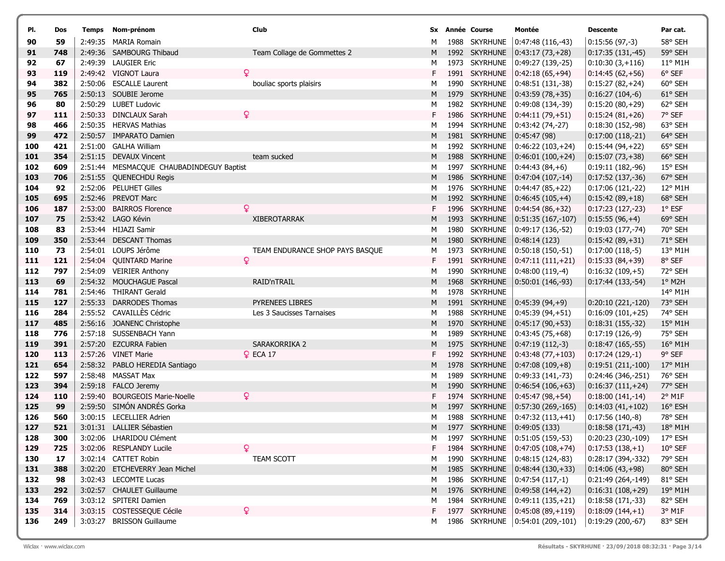| PI.        | Dos        | Temps | Nom-prénom                                          | Club                                                | Sx     |      | Année Course                   | Montée                                   | <b>Descente</b>                         | Par cat.                    |
|------------|------------|-------|-----------------------------------------------------|-----------------------------------------------------|--------|------|--------------------------------|------------------------------------------|-----------------------------------------|-----------------------------|
| 90         | 59         |       | 2:49:35 MARIA Romain                                |                                                     | M      |      | 1988 SKYRHUNE                  | $ 0:47:48(116,-43)$                      | $0:15:56(97,-3)$                        | 58° SEH                     |
| 91         | 748        |       | 2:49:36 SAMBOURG Thibaud                            | Team Collage de Gommettes 2                         | M      |      | 1992 SKYRHUNE                  | $ 0:43:17(73,+28) $                      | $0:17:35(131,-45)$                      | 59° SEH                     |
| 92         | 67         |       | 2:49:39 LAUGIER Eric                                |                                                     | М      |      | 1973 SKYRHUNE                  | $ 0:49:27(139,-25) $                     | $0:10:30(3,+116)$                       | 11° M1H                     |
| 93         | 119        |       | 2:49:42 VIGNOT Laura                                | Q                                                   | F      |      | 1991 SKYRHUNE                  | $ 0:42:18(65,+94)$                       | $0:14:45(62,+56)$                       | 6° SEF                      |
| 94         | 382        |       | 2:50:06 ESCALLE Laurent                             | bouliac sports plaisirs                             | М      |      | 1990 SKYRHUNE                  | $ 0:48:51(131,-38) $                     | $0:15:27(82,+24)$                       | 60° SEH                     |
| 95         | 765        |       | 2:50:13 SOUBIE Jerome                               |                                                     | M      |      | 1979 SKYRHUNE                  | $ 0:43:59(78,+35) $                      | $0:16:27(104,-6)$                       | 61° SEH                     |
| 96         | 80         |       | 2:50:29 LUBET Ludovic                               |                                                     | м      |      | 1982 SKYRHUNE                  | $ 0:49:08(134,-39) $                     | $0:15:20(80,+29)$                       | 62° SEH                     |
| 97         | 111        |       | 2:50:33 DINCLAUX Sarah                              | Q                                                   | F      |      | 1986 SKYRHUNE                  | $ 0:44:11(79,+51) $                      | $0:15:24(81,+26)$                       | 7° SEF                      |
| 98         | 466        |       | 2:50:35 HERVAS Mathias                              |                                                     | м      |      | 1994 SKYRHUNE                  | $0:43:42(74,-27)$                        | 0:18:30 (152,-98)                       | 63° SEH                     |
| 99         | 472        |       | 2:50:57 IMPARATO Damien                             |                                                     | M      |      | 1981 SKYRHUNE                  | 0:45:47(98)                              | $0:17:00(118,-21)$                      | 64° SEH                     |
| 100        | 421        |       | 2:51:00 GALHA William                               |                                                     | М      |      | 1992 SKYRHUNE                  | $ 0:46:22(103,+24) $                     | $0:15:44(94,+22)$                       | 65° SEH                     |
| <b>101</b> | 354        |       | 2:51:15 DEVAUX Vincent                              | team sucked                                         | M      |      | 1988 SKYRHUNE                  | $ 0:46:01(100,+24) $                     | $0:15:07(73,+38)$                       | 66° SEH                     |
| 102        | 609        |       | 2:51:44 MESMACQUE CHAUBADINDEGUY Baptist            |                                                     | М      |      | 1997 SKYRHUNE                  | $ 0:44:43(84,+6) $                       | $0:19:11(182,-96)$                      | 15° ESH                     |
| 103        | 706        |       | 2:51:55 QUENECHDU Regis                             |                                                     | M      | 1986 | <b>SKYRHUNE</b>                | $ 0:47:04(107,-14) $                     | $0:17:52(137,-36)$                      | 67° SEH                     |
| 104        | 92         |       | 2:52:06 PELUHET Gilles                              |                                                     | М      |      | 1976 SKYRHUNE                  | $ 0:44:47(85,+22) $                      | 0:17:06 (121,-22)                       | 12° M1H                     |
| 105        | 695        |       | 2:52:46 PREVOT Marc                                 |                                                     | M      |      | 1992 SKYRHUNE                  | $ 0:46:45(105,+4) $                      | $0:15:42(89,+18)$                       | 68° SEH                     |
| 106        | 187        |       | 2:53:00 BAIRROS Florence                            | Q                                                   | F      |      | 1996 SKYRHUNE                  | $ 0:44:54(86,+32) $                      | $0:17:23(127,-23)$                      | $1^{\circ}$ ESF             |
| 107        | 75         |       | 2:53:42 LAGO Kévin                                  | <b>XIBEROTARRAK</b>                                 | M      |      | 1993 SKYRHUNE                  | $(0:51:35(167,-107))$                    | $0:15:55(96,+4)$                        | 69° SEH                     |
| 108        | 83         |       | 2:53:44 HIJAZI Samir                                |                                                     | М      |      | 1980 SKYRHUNE                  | $ 0:49:17(136,-52) $                     | $0:19:03(177,-74)$                      | 70° SEH                     |
| 109        | 350        |       | 2:53:44 DESCANT Thomas                              |                                                     | M      |      | 1980 SKYRHUNE                  | 0:48:14(123)                             | $0:15:42(89,+31)$                       | 71° SEH                     |
| 110        | 73         |       | 2:54:01 LOUPS Jérôme                                | TEAM ENDURANCE SHOP PAYS BASQUE                     | М      | 1973 | <b>SKYRHUNE</b>                | $ 0:50:18(150,-51) $                     | $0:17:00(118,-5)$                       | 13° M1H                     |
| 111        | 121        |       | 2:54:04 QUINTARD Marine                             | ò                                                   | F.     |      | 1991 SKYRHUNE                  | $ 0:47:11(111,+21) $                     | $0:15:33(84,+39)$                       | 8° SEF                      |
| 112        | 797        |       | 2:54:09 VEIRIER Anthony                             |                                                     | М      |      | 1990 SKYRHUNE                  | $ 0:48:00(119,-4) $                      | $0:16:32(109,+5)$                       | 72° SEH                     |
| 113        | 69         |       | 2:54:32 MOUCHAGUE Pascal                            | RAID'nTRAIL                                         | M      |      | 1968 SKYRHUNE                  | $(0:50:01(146,-93))$                     | $0:17:44(133,-54)$                      | $1°$ M2H                    |
| 114        | 781        |       | 2:54:46 THIRANT Gerald                              |                                                     | М      |      | 1978 SKYRHUNE                  |                                          |                                         | 14° M1H                     |
| 115        | 127        |       | 2:55:33 DARRODES Thomas<br>2:55:52 CAVAILLÈS Cédric | <b>PYRENEES LIBRES</b><br>Les 3 Saucisses Tarnaises | M      |      | 1991 SKYRHUNE<br>1988 SKYRHUNE | $ 0:45:39(94,+9) $                       | $0:20:10(221,-120)$                     | 73° SEH                     |
| 116<br>117 | 284<br>485 |       | 2:56:16 JOANENC Christophe                          |                                                     | м<br>M |      | 1970 SKYRHUNE                  | $ 0:45:39(94,+51) $                      | $0:16:09(101,+25)$                      | 74° SEH<br>$15^{\circ}$ M1H |
| 118        | 776        |       | 2:57:18 SUSSENBACH Yann                             |                                                     | М      |      | 1989 SKYRHUNE                  | $ 0:45:17(90,+53) $<br>$0:43:45(75,+68)$ | $0:18:31(155,-32)$<br>$0:17:19(126,-9)$ | 75° SEH                     |
| 119        | 391        |       | 2:57:20 EZCURRA Fabien                              | SARAKORRIKA 2                                       | M      |      | 1975 SKYRHUNE                  | $ 0:47:19(112,-3) $                      | $0:18:47(165,-55)$                      | $16^{\circ}$ M1H            |
| 120        | 113        |       | 2:57:26 VINET Marie                                 | $Q$ ECA 17                                          |        |      | 1992 SKYRHUNE                  | $ 0:43:48(77,+103)$                      | $0:17:24(129,-1)$                       | 9° SEF                      |
| 121        | 654        |       | 2:58:32 PABLO HEREDIA Santiago                      |                                                     | M      | 1978 | <b>SKYRHUNE</b>                | $ 0:47:08(109,+8) $                      | $0:19:51(211,-100)$                     | $17^{\circ}$ M1H            |
| 122        | 597        |       | 2:58:48 MASSAT Max                                  |                                                     | М      | 1989 | <b>SKYRHUNE</b>                | $(0.49.33(141,-73))$                     | 0:24:46 (346,-251)                      | 76° SEH                     |
| 123        | 394        |       | 2:59:18 FALCO Jeremy                                |                                                     | M      |      | 1990 SKYRHUNE                  | $ 0:46:54(106,+63)$                      | $0:16:37(111,+24)$                      | 77° SEH                     |
| 124        | 110        |       | 2:59:40 BOURGEOIS Marie-Noelle                      | ò                                                   | F      |      | 1974 SKYRHUNE                  | $ 0:45:47(98,+54) $                      | $0:18:00(141,-14)$                      | $2^{\circ}$ M1F             |
| 125        | 99         |       | 2:59:50 SIMÓN ANDRÉS Gorka                          |                                                     | M      |      | 1997 SKYRHUNE                  | $ 0:57:30(269,-165) $                    | $0:14:03(41,+102)$                      | 16° ESH                     |
| 126        | 560        |       | 3:00:15 LECELLIER Adrien                            |                                                     | м      |      | 1988 SKYRHUNE                  | $ 0:47:32(113,+41) $                     | $0:17:56(140,-8)$                       | 78° SEH                     |
| 127        | 521        |       | 3:01:31 LALLIER Sébastien                           |                                                     | M      |      | 1977 SKYRHUNE                  | 0:49:05(133)                             | $0:18:58(171,-43)$                      | 18° M1H                     |
| 128        | 300        |       | 3:02:06 LHARIDOU Clément                            |                                                     | M      |      | 1997 SKYRHUNE                  | $ 0:51:05(159,-53) $                     | 0:20:23 (230,-109)                      | 17° ESH                     |
| 129        | 725        |       | 3:02:06 RESPLANDY Lucile                            | Q                                                   | F      |      |                                | 1984 SKYRHUNE   0:47:05 (108,+74)        | $0:17:53(138,+1)$                       | 10° SEF                     |
| 130        | 17         |       | 3:02:14 CATTET Robin                                | TEAM SCOTT                                          | М      |      | 1990 SKYRHUNE                  | $ 0:48:15(124,-83) $                     | 0:28:17 (394,-332)                      | 79° SEH                     |
| 131        | 388        |       | 3:02:20 ETCHEVERRY Jean Michel                      |                                                     | M      |      |                                | 1985 SKYRHUNE 0:48:44 (130, +33)         | $0:14:06(43,+98)$                       | 80° SEH                     |
| 132        | 98         |       | 3:02:43 LECOMTE Lucas                               |                                                     | М      |      | 1986 SKYRHUNE                  | $\vert 0:47:54(117,-1) \vert$            | 0:21:49 (264,-149)                      | 81° SEH                     |
| 133        | 292        |       | 3:02:57 CHAULET Guillaume                           |                                                     | М      |      |                                | 1976 SKYRHUNE   0:49:58 (144,+2)         | $0:16:31(108,+29)$                      | 19° M1H                     |
| 134        | 769        |       | 3:03:12 SPITERI Damien                              |                                                     | М      |      |                                | 1984 SKYRHUNE   0:49:11 (135,+21)        | $0:18:58(171,-33)$                      | 82° SEH                     |
| 135        | 314        |       | 3:03:15 COSTESSEQUE Cécile                          | Q                                                   | F.     |      | 1977 SKYRHUNE                  | $ 0:45:08(89,+119) $                     | $0:18:09(144,+1)$                       | 3° M1F                      |
| 136        | 249        |       | 3:03:27 BRISSON Guillaume                           |                                                     | м      |      |                                | 1986 SKYRHUNE   0:54:01 (209,-101)       | $0:19:29(200,-67)$                      | 83° SEH                     |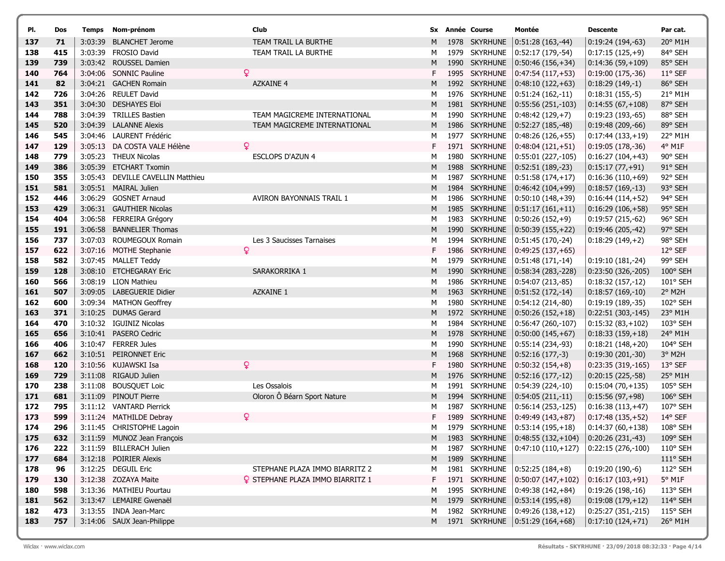| PI.        | Dos        |         | Temps Nom-prénom                            | Club                                    |         | Sx Année Course                | Montée                                    | <b>Descente</b>       | Par cat.           |
|------------|------------|---------|---------------------------------------------|-----------------------------------------|---------|--------------------------------|-------------------------------------------|-----------------------|--------------------|
| 137        | 71         | 3:03:39 | <b>BLANCHET Jerome</b>                      | TEAM TRAIL LA BURTHE                    | м       | 1978 SKYRHUNE                  | $0:51:28(163,-44)$                        | $0:19:24(194,-63)$    | 20° M1H            |
| 138        | 415        | 3:03:39 | <b>FROSIO David</b>                         | TEAM TRAIL LA BURTHE                    | м       | 1979 SKYRHUNE                  | $0:52:17(179,-54)$                        | $0:17:15(125,+9)$     | 84° SEH            |
| 139        | 739        |         | 3:03:42 ROUSSEL Damien                      |                                         | M       | 1990 SKYRHUNE                  | $ 0:50:46(156,+34) $                      | $0:14:36(59,+109)$    | 85° SEH            |
| 140        | 764        |         | 3:04:06 SONNIC Pauline                      | Q                                       | F.      | 1995 SKYRHUNE                  | $ 0:47:54(117,+53) $                      | $0:19:00(175,-36)$    | 11° SEF            |
| 141        | 82         |         | 3:04:21 GACHEN Romain                       | <b>AZKAINE 4</b>                        | М       | 1992 SKYRHUNE                  | $0:48:10(122,+63)$                        | $0:18:29(149,-1)$     | 86° SEH            |
| 142        | 726        |         | 3:04:26 REULET David                        |                                         | М       | 1976 SKYRHUNE                  | $ 0:51:24(162,-11) $                      | $0:18:31(155,-5)$     | 21° M1H            |
| 143        | 351        |         | 3:04:30 DESHAYES Eloi                       |                                         | M       | 1981 SKYRHUNE                  | $ 0:55:56(251,-103) $                     | $0:14:55(67,+108)$    | 87° SEH            |
| 144        | 788        |         | 3:04:39 TRILLES Bastien                     | TEAM MAGICREME INTERNATIONAL            | м       | 1990 SKYRHUNE                  | $0:48:42(129,+7)$                         | $0:19:23(193,-65)$    | 88° SEH            |
| 145        | 520        |         | 3:04:39 LALANNE Alexis                      | TEAM MAGICREME INTERNATIONAL            | М       | 1986 SKYRHUNE                  | $ 0:52:27(185,-48) $                      | $0:19:48(209,-66)$    | 89° SEH            |
| 146        | 545        |         | 3:04:46 LAURENT Frédéric                    |                                         | м       | 1977 SKYRHUNE                  | $ 0:48:26(126,+55) $                      | $0:17:44(133,+19)$    | 22° M1H            |
| 147        | 129        |         | 3:05:13 DA COSTA VALE Hélène                | Q                                       | F.      | 1971 SKYRHUNE                  | $0:48:04(121,+51)$                        | $0:19:05(178,-36)$    | 4º M1F             |
| 148        | 779        |         | 3:05:23 THEUX Nicolas                       | ESCLOPS D'AZUN 4                        | м       | 1980 SKYRHUNE                  | $ 0:55:01(227,-105) $                     | $0:16:27(104,+43)$    | 90° SEH            |
| 149        | 386        |         | 3:05:39 ETCHART Txomin                      |                                         | M       | 1988 SKYRHUNE                  | $ 0:52:51(189,-23) $                      | $0:15:17(77,+91)$     | 91° SEH            |
| 150        | 355        |         | 3:05:43 DEVILLE CAVELLIN Matthieu           |                                         | м       | 1987 SKYRHUNE                  | $0:51:58(174,+17)$                        | $0:16:36(110,+69)$    | 92° SEH            |
| 151        | 581        |         | 3:05:51 MAIRAL Julien                       |                                         | M       | 1984 SKYRHUNE                  | $ 0:46:42(104,+99)$                       | $0:18:57(169,-13)$    | 93° SEH            |
| 152        | 446        | 3:06:29 | <b>GOSNET Arnaud</b>                        | <b>AVIRON BAYONNAIS TRAIL 1</b>         | М       | 1986 SKYRHUNE                  | $(0:50:10(148,+39))$                      | $0:16:44(114,+52)$    | 94° SEH            |
| 153        | 429        |         | 3:06:31 GAUTHIER Nicolas                    |                                         | M       | 1985 SKYRHUNE                  | $ 0:51:17(161,+11) $                      | $0:16:29(106,+58)$    | 95° SEH            |
| 154        | 404        |         | 3:06:58 FERREIRA Grégory                    |                                         | м       | 1983 SKYRHUNE                  | $ 0:50:26(152,+9) $                       | $0:19:57(215,-62)$    | 96° SEH            |
| 155        | 191        |         | 3:06:58 BANNELIER Thomas                    |                                         | M       | 1990 SKYRHUNE<br>1994 SKYRHUNE | $ 0:50:39(155,+22) $                      | $0:19:46(205,-42)$    | 97° SEH            |
| 156        | 737<br>622 | 3:07:03 | ROUMEGOUX Romain<br>3:07:16 MOTHE Stephanie | Les 3 Saucisses Tarnaises<br>Q          | М<br>F. | 1986 SKYRHUNE                  | $0:51:45(170,-24)$                        | $0:18:29(149,+2)$     | 98° SEH<br>12° SEF |
| 157<br>158 | 582        |         | 3:07:45 MALLET Teddy                        |                                         | м       | 1979 SKYRHUNE                  | $(0:49:25(137,+65))$<br>0:51:48 (171,-14) | $0:19:10(181,-24)$    | 99° SEH            |
| 159        | 128        |         | 3:08:10 ETCHEGARAY Eric                     | SARAKORRIKA 1                           | M       | 1990 SKYRHUNE                  | $ 0:58:34(283,-228) $                     | $0:23:50(326,-205)$   | 100° SEH           |
| 160        | 566        |         | 3:08:19 LION Mathieu                        |                                         | м       | 1986 SKYRHUNE                  | $ 0:54:07(213,-85) $                      | $0:18:32(157,-12)$    | 101° SEH           |
| 161        | 507        |         | 3:09:05 LABEGUERIE Didier                   | AZKAINE 1                               | M       | 1963 SKYRHUNE                  | $0:51:52(172,-14)$                        | $0:18:57(169,-10)$    | 2° M2H             |
| 162        | 600        |         | 3:09:34 MATHON Geoffrey                     |                                         | М       | 1980 SKYRHUNE                  | $ 0:54:12(214,-80)$                       | 0:19:19 (189,-35)     | 102° SEH           |
| 163        | 371        |         | 3:10:25 DUMAS Gerard                        |                                         | M       | 1972 SKYRHUNE                  | $ 0:50:26(152,+18) $                      | $0:22:51(303,-145)$   | 23° M1H            |
| 164        | 470        |         | 3:10:32 IGUINIZ Nicolas                     |                                         | м       | 1984 SKYRHUNE                  | $ 0:56:47(260,-107) $                     | $0:15:32(83,+102)$    | 103° SEH           |
| 165        | 656        |         | 3:10:41 PASERO Cedric                       |                                         | м       | 1978 SKYRHUNE                  | $ 0:50:00(145,+67) $                      | $0:18:33(159,+18)$    | 24° M1H            |
| 166        | 406        |         | 3:10:47 FERRER Jules                        |                                         | м       | 1990 SKYRHUNE                  | 0:55:14 (234,-93)                         | $0:18:21(148,+20)$    | 104° SEH           |
| 167        | 662        |         | 3:10:51 PEIRONNET Eric                      |                                         | M       | 1968 SKYRHUNE                  | $0:52:16(177,-3)$                         | 0:19:30 (201,-30)     | 3° M2H             |
| 168        | 120        |         | 3:10:56 KUJAWSKI Isa                        | ¥                                       | F.      | 1980 SKYRHUNE                  | $ 0:50:32(154,+8) $                       | $0:23:35(319,-165)$   | 13° SEF            |
| 169        | 729        |         | 3:11:08 RIGAUD Julien                       |                                         | M       | 1976 SKYRHUNE                  | $ 0:52:16(177,-12) $                      | $0:20:15(225,-58)$    | 25° M1H            |
| 170        | 238        | 3:11:08 | <b>BOUSQUET Loic</b>                        | Les Ossalois                            | м       | 1991 SKYRHUNE                  | 0:54:39 (224,-10)                         | $0:15:04(70,+135)$    | 105° SEH           |
| 171        | 681        | 3:11:09 | PINOUT Pierre                               | Oloron Ô Béarn Sport Nature             | M       | 1994 SKYRHUNE                  | $ 0:54:05(211,-11) $                      | $0:15:56(97,+98)$     | 106° SEH           |
| 172        | 795        |         | 3:11:12 VANTARD Pierrick                    |                                         | М       | 1987 SKYRHUNE                  | $0:56:14(253,-125)$                       | $0:16:38(113,+47)$    | 107° SEH           |
| 173        | 599        |         | 3:11:24 MATHILDE Debray                     | ¥                                       | F.      | 1989 SKYRHUNE                  | 0:49:49 (143,+87)                         | $0:17:48(135,+52)$    | 14° SEF            |
| 174        | 296        |         | 3:11:45 CHRISTOPHE Lagoin                   |                                         | м       |                                | 1979 SKYRHUNE   0:53:14 (195,+18)         | $ 0:14:37(60,+138) $  | 108° SEH           |
| 175        | 632        |         | 3:11:59 MUNOZ Jean François                 |                                         |         | M 1983 SKYRHUNE                | $ 0:48:55(132,+104) $                     | $ 0:20:26(231,-43) $  | 109° SEH           |
| 176        | 222        |         | 3:11:59 BILLERACH Julien                    |                                         | M       | 1987 SKYRHUNE                  | $ 0:47:10(110,+127) $                     | $ 0:22:15(276,-100) $ | $110^{\circ}$ SEH  |
| 177        | 684        |         | 3:12:18 POIRIER Alexis                      |                                         | M       | 1989 SKYRHUNE                  |                                           |                       | $111^{\circ}$ SEH  |
| 178        | 96         |         | 3:12:25 DEGUIL Eric                         | STEPHANE PLAZA IMMO BIARRITZ 2          | M       | 1981 SKYRHUNE                  | $ 0:52:25(184,+8) $                       | $0:19:20(190,-6)$     | 112° SEH           |
| 179        | 130        |         | 3:12:38 ZOZAYA Maite                        | <b>Q</b> STEPHANE PLAZA IMMO BIARRITZ 1 | F.      | 1971 SKYRHUNE                  | $ 0:50:07(147,+102) $                     | $0:16:17(103,+91)$    | $5^{\circ}$ M1F    |
| 180        | 598        |         | 3:13:36 MATHIEU Pourtau                     |                                         | м       | 1995 SKYRHUNE                  | $ 0:49:38(142,+84)$                       | $0:19:26(198,-16)$    | 113° SEH           |
| 181        | 562        |         | 3:13:47 LEMAIRE Gwenaël                     |                                         | M       | 1979 SKYRHUNE                  | $ 0:53:14(195,+8) $                       | $0:19:08(179,+12)$    | 114° SEH           |
| 182        | 473        |         | 3:13:55 INDA Jean-Marc                      |                                         | м       | 1982 SKYRHUNE                  | $ 0:49:26(138,+12) $                      | 0:25:27 (351,-215)    | $115^{\circ}$ SEH  |
| 183        | 757        |         | 3:14:06 SAUX Jean-Philippe                  |                                         | M       |                                | 1971 SKYRHUNE 0:51:29 (164,+68)           | $0:17:10(124,+71)$    | 26° M1H            |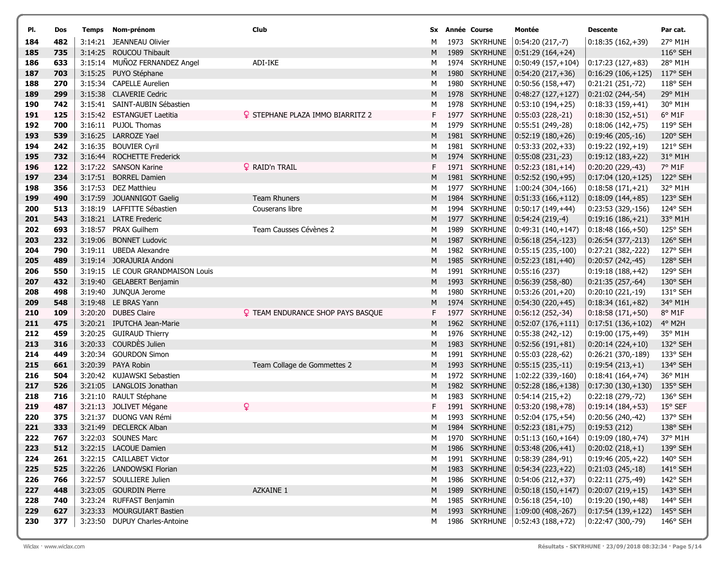| PI.        | Dos        |                    | Temps Nom-prénom                              | Club                                     |        | Sx Année Course                | Montée                                      | <b>Descente</b>                          | Par cat.             |
|------------|------------|--------------------|-----------------------------------------------|------------------------------------------|--------|--------------------------------|---------------------------------------------|------------------------------------------|----------------------|
| 184        | 482        |                    | 3:14:21 JEANNEAU Olivier                      |                                          | м      | 1973 SKYRHUNE                  | $0:54:20(217,-7)$                           | $0:18:35(162,+39)$                       | 27° M1H              |
| 185        | 735        |                    | 3:14:25 ROUCOU Thibault                       |                                          | М      | 1989 SKYRHUNE                  | $ 0:51:29(164,+24) $                        |                                          | 116° SEH             |
| 186        | 633        |                    | 3:15:14 MUÑOZ FERNANDEZ Angel                 | ADI-IKE                                  | м      | 1974 SKYRHUNE                  | $(0:50:49(157,+104))$                       | $0:17:23(127,+83)$                       | 28° M1H              |
| 187        | 703        |                    | 3:15:25 PUYO Stéphane                         |                                          | м      | 1980 SKYRHUNE                  | $ 0:54:20(217,+36) $                        | $0:16:29(106,+125)$                      | 117° SEH             |
| 188        | 270        |                    | 3:15:34 CAPELLE Aurelien                      |                                          | M      | 1980 SKYRHUNE                  | $0:50:56(158,+47)$                          | $0:21:21(251,-72)$                       | 118° SEH             |
| 189        | 299        |                    | 3:15:38 CLAVERIE Cedric                       |                                          | М      | 1978 SKYRHUNE                  | $0:48:27(127,+127)$                         | $0:21:02(244,-54)$                       | 29° M1H              |
| 190        | 742        |                    | 3:15:41 SAINT-AUBIN Sébastien                 |                                          | м      | 1978 SKYRHUNE                  | $ 0:53:10(194,+25) $                        | $0:18:33(159,+41)$                       | 30° M1H              |
| 191        | 125        |                    | 3:15:42 ESTANGUET Laetitia                    | STEPHANE PLAZA IMMO BIARRITZ 2           | F.     | 1977 SKYRHUNE                  | $ 0:55:03(228,-21) $                        | $0:18:30(152,+51)$                       | 6° M1F               |
| 192        | 700        |                    | 3:16:11 PUJOL Thomas                          |                                          | м      | 1979 SKYRHUNE                  | $ 0:55:51(249,-28) $                        | $0:18:06(142,+75)$                       | 119° SEH             |
| 193        | 539        |                    | 3:16:25 LARROZE Yael                          |                                          | M      | 1981 SKYRHUNE                  | $ 0:52:19(180,+26) $                        | $0:19:46(205,-16)$                       | 120° SEH             |
| 194        | 242        |                    | 3:16:35 BOUVIER Cyril                         |                                          | м      | 1981 SKYRHUNE                  | $ 0:53:33(202,+33) $                        | $0:19:22(192,+19)$                       | 121° SEH             |
| 195        | 732        |                    | 3:16:44 ROCHETTE Frederick                    |                                          | М      | 1974 SKYRHUNE                  | $ 0:55:08(231,-23) $                        | $0:19:12(183,+22)$                       | 31° M1H              |
| 196        | 122        |                    | 3:17:22 SANSON Karine                         | <b>Q</b> RAID'n TRAIL                    | F      | 1971 SKYRHUNE                  | $ 0:52:23(181,+14) $                        | $0:20:20(229,-43)$                       | 7° M1F               |
| 197        | 234        |                    | 3:17:51 BORREL Damien                         |                                          | M      | 1981 SKYRHUNE                  | $ 0:52:52(190,+95) $                        | $0:17:04(120,+125)$                      | 122° SEH             |
| 198        | 356        |                    | 3:17:53 DEZ Matthieu                          |                                          | М      | 1977 SKYRHUNE                  | $ 1:00:24(304,-166) $                       | $0:18:58(171,+21)$                       | 32° M1H              |
| 199        | 490        |                    | 3:17:59 JOUANNIGOT Gaelig                     | <b>Team Rhuners</b>                      | M      | 1984 SKYRHUNE                  | $ 0:51:33(166,+112) $                       | $0:18:09(144,+85)$                       | 123° SEH             |
| 200        | 513        |                    | 3:18:19 LAFFITTE Sébastien                    | Couserans libre                          | М      | 1994 SKYRHUNE                  | $0:50:17(149,+44)$                          | 0:23:53 (329,-156)                       | 124° SEH             |
| 201        | 543        |                    | 3:18:21 LATRE Frederic                        |                                          | М      | 1977 SKYRHUNE                  | $ 0:54:24(219,-4) $                         | $0:19:16(186,+21)$                       | 33° M1H              |
| 202        | 693<br>232 |                    | 3:18:57 PRAX Guilhem<br><b>BONNET Ludovic</b> | Team Causses Cévènes 2                   | M      | 1989 SKYRHUNE<br>1987 SKYRHUNE | $(0:49:31(140,+147))$                       | $0:18:48(166,+50)$                       | 125° SEH             |
| 203<br>204 | 790        | 3:19:06<br>3:19:11 | <b>UBEDA Alexandre</b>                        |                                          | M<br>м | 1982 SKYRHUNE                  | $ 0:56:18(254,-123) $                       | $0:26:54(377,-213)$                      | 126° SEH<br>127° SEH |
| 205        | 489        |                    | 3:19:14 JORAJURIA Andoni                      |                                          | М      | 1985 SKYRHUNE                  | $0:55:15(235,-100)$<br>$ 0:52:23(181,+40) $ | 0:27:21 (382,-222)<br>$0:20:57(242,-45)$ | 128° SEH             |
| 206        | 550        |                    | 3:19:15 LE COUR GRANDMAISON Louis             |                                          | м      | 1991 SKYRHUNE                  | 0:55:16(237)                                | $0:19:18(188,+42)$                       | 129° SEH             |
| 207        | 432        |                    | 3:19:40 GELABERT Benjamin                     |                                          | м      | 1993 SKYRHUNE                  | $ 0:56:39(258,-80) $                        | $0:21:35(257,-64)$                       | 130° SEH             |
| 208        | 498        |                    | 3:19:40 JUNQUA Jerome                         |                                          | М      | 1980 SKYRHUNE                  | $0:53:26(201,+20)$                          | 0:20:10 (221,-19)                        | 131° SEH             |
| 209        | 548        |                    | 3:19:48 LE BRAS Yann                          |                                          | М      | 1974 SKYRHUNE                  | $ 0:54:30(220,+45) $                        | $0:18:34(161,+82)$                       | 34° M1H              |
| 210        | 109        |                    | 3:20:20 DUBES Claire                          | <b>Q</b> TEAM ENDURANCE SHOP PAYS BASQUE | F.     | 1977 SKYRHUNE                  | $ 0:56:12(252,-34) $                        | $0:18:58(171,+50)$                       | 8° M1F               |
| 211        | 475        |                    | 3:20:21 IPUTCHA Jean-Marie                    |                                          | м      | 1962 SKYRHUNE                  | $ 0:52:07(176,+111)$                        | $0:17:51(136,+102)$                      | 4° M2H               |
| 212        | 459        |                    | 3:20:25 GUIRAUD Thierry                       |                                          | м      | 1976 SKYRHUNE                  | $ 0:55:38(242,-12) $                        | 0:19:00 (175,+49)                        | 35° M1H              |
| 213        | 316        | 3:20:33            | COURDÈS Julien                                |                                          | М      | 1983 SKYRHUNE                  | $ 0:52:56(191,+81) $                        | $0:20:14(224,+10)$                       | 132° SEH             |
| 214        | 449        |                    | 3:20:34 GOURDON Simon                         |                                          | м      | 1991 SKYRHUNE                  | 0:55:03 (228,-62)                           | 0:26:21 (370,-189)                       | 133° SEH             |
| 215        | 661        |                    | 3:20:39 PAYA Robin                            | Team Collage de Gommettes 2              | М      | 1993 SKYRHUNE                  | $ 0:55:15(235,-11) $                        | $0:19:54(213,+1)$                        | 134° SEH             |
| 216        | 504        |                    | 3:20:42 KUJAWSKI Sebastien                    |                                          | м      | 1972 SKYRHUNE                  | 1:02:22 (339,-160)                          | $0:18:41(164,+74)$                       | 36° M1H              |
| 217        | 526        | 3:21:05            | LANGLOIS Jonathan                             |                                          | M      | 1982 SKYRHUNE                  | $ 0:52:28(186,+138) $                       | $0:17:30(130,+130)$                      | 135° SEH             |
| 218        | 716        | 3:21:10            | RAULT Stéphane                                |                                          | м      | 1983 SKYRHUNE                  | $0:54:14(215,+2)$                           | $0:22:18(279,-72)$                       | 136° SEH             |
| 219        | 487        |                    | 3:21:13 JOLIVET Mégane                        | Q                                        | F      | 1991 SKYRHUNE                  | $(0:53:20(198,+78))$                        | $0:19:14(184,+53)$                       | 15° SEF              |
| 220        | 375        |                    | 3:21:37 DUONG VAN Rémi                        |                                          | м      | 1993 SKYRHUNE                  | $ 0:52:04(175,+54) $                        | 0:20:56 (240,-42)                        | 137° SEH             |
| 221        | 333        |                    | 3:21:49 DECLERCK Alban                        |                                          | М      |                                | 1984 SKYRHUNE 0:52:23 (181,+75)             | 0:19:53(212)                             | 138° SEH             |
| 222        | 767        |                    | 3:22:03 SOUNES Marc                           |                                          | M      |                                | 1970 SKYRHUNE   0:51:13 (160,+164)          | $ 0:19:09(180,+74) $                     | 37° M1H              |
| 223        | 512        |                    | 3:22:15 LACOUE Damien                         |                                          | M.     |                                | 1986 SKYRHUNE 0:53:48 (206,+41)             | $0:20:02(218,+1)$                        | $139°$ SEH           |
| 224        | 261        |                    | 3:22:15 CAILLABET Victor                      |                                          | M      | 1991 SKYRHUNE                  | $ 0:58:39(284,-91) $                        | $0:19:46(205,+22)$                       | 140° SEH             |
| 225        | 525        |                    | 3:22:26 LANDOWSKI Florian                     |                                          | M      |                                | 1983 SKYRHUNE 0:54:34 (223,+22)             | $0:21:03(245,-18)$                       | 141° SEH             |
| 226        | 766        |                    | 3:22:57 SOULLIERE Julien                      |                                          | М      |                                | 1986 SKYRHUNE 0:54:06 (212,+37)             | 0:22:11 (275,-49)                        | 142° SEH             |
| 227        | 448        |                    | 3:23:05 GOURDIN Pierre                        | AZKAINE 1                                | M      |                                | 1989 SKYRHUNE 0:50:18 (150,+147)            | $0:20:07(219,+15)$                       | 143° SEH             |
| 228        | 740        |                    | 3:23:24 RUFFAST Benjamin                      |                                          | м      | 1985 SKYRHUNE                  | $ 0:56:18(254,-10) $                        | $0:19:20(190,+48)$                       | 144° SEH             |
| 229        | 627        |                    | 3:23:33 MOURGUIART Bastien                    |                                          | M      |                                | 1993 SKYRHUNE 1:09:00 (408,-267)            | $0:17:54(139,+122)$                      | $145^{\circ}$ SEH    |
| 230        | 377        |                    | 3:23:50 DUPUY Charles-Antoine                 |                                          | M      |                                | 1986 SKYRHUNE   0:52:43 (188,+72)           | 0:22:47 (300,-79)                        | 146° SEH             |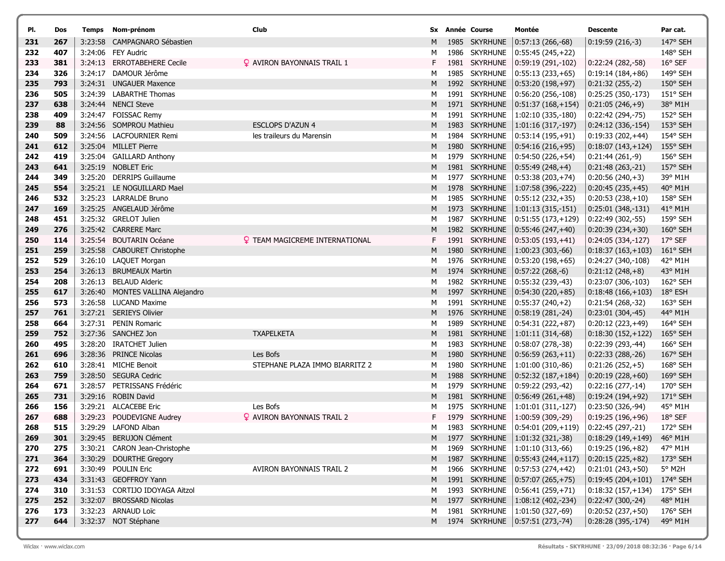| PI.        | Dos        | Temps   | Nom-prénom                                           | Club                                  |        | Sx Année Course                | Montée                                       | <b>Descente</b>                         | Par cat.                     |
|------------|------------|---------|------------------------------------------------------|---------------------------------------|--------|--------------------------------|----------------------------------------------|-----------------------------------------|------------------------------|
| 231        | 267        | 3:23:58 | CAMPAGNARO Sébastien                                 |                                       | м      | 1985 SKYRHUNE                  | $0:57:13(266,-68)$                           | $0:19:59(216,-3)$                       | 147° SEH                     |
| 232        | 407        |         | 3:24:06 FEY Audric                                   |                                       | м      | 1986 SKYRHUNE                  | $ 0:55:45(245,+22) $                         |                                         | 148° SEH                     |
| 233        | 381        |         | 3:24:13 ERROTABEHERE Cecile                          | <b>Q</b> AVIRON BAYONNAIS TRAIL 1     | F.     | 1981 SKYRHUNE                  | $ 0:59:19(291,-102) $                        | $0:22:24(282,-58)$                      | $16^{\circ}$ SEF             |
| 234        | 326        | 3:24:17 | DAMOUR Jérôme                                        |                                       | м      | 1985 SKYRHUNE                  | $0:55:13(233,+65)$                           | $0:19:14(184,+86)$                      | 149° SEH                     |
| 235        | 793        |         | 3:24:31 UNGAUER Maxence                              |                                       | M      | 1992 SKYRHUNE                  | $(0:53:20(198,+97))$                         | $0:21:32(255,-2)$                       | 150° SEH                     |
| 236        | 505        |         | 3:24:39 LABARTHE Thomas                              |                                       | М      | 1991 SKYRHUNE                  | $0:56:20(256,-108)$                          | 0:25:25 (350,-173)                      | 151° SEH                     |
| 237        | 638        |         | 3:24:44 NENCI Steve                                  |                                       | М      | 1971 SKYRHUNE                  | $ 0:51:37(168,+154)$                         | $0:21:05(246,+9)$                       | 38° M1H                      |
| 238        | 409        |         | 3:24:47 FOISSAC Remy                                 |                                       | м      | 1991 SKYRHUNE                  | $ 1:02:10(335,-180) $                        | 0:22:42 (294,-75)                       | 152° SEH                     |
| 239        | 88         |         | 3:24:56 SOMPROU Mathieu                              | <b>ESCLOPS D'AZUN 4</b>               | M      | 1983 SKYRHUNE                  | $ 1:01:16(317,-197) $                        | $0:24:12(336,-154)$                     | 153° SEH                     |
| 240        | 509        |         | 3:24:56 LACFOURNIER Remi                             | les traileurs du Marensin             | м      | 1984 SKYRHUNE                  | $0:53:14(195,+91)$                           | $0:19:33(202,+44)$                      | 154° SEH                     |
| 241        | 612        |         | 3:25:04 MILLET Pierre                                |                                       | M      | 1980 SKYRHUNE                  | $ 0:54:16(216,+95) $                         | $0:18:07(143,+124)$                     | $155^{\circ}$ SEH            |
| 242        | 419        |         | 3:25:04 GAILLARD Anthony                             |                                       | м      | 1979 SKYRHUNE                  | $ 0:54:50(226,+54)$                          | $0:21:44(261,-9)$                       | 156° SEH                     |
| 243        | 641        |         | 3:25:19 NOBLET Eric                                  |                                       | M      | 1981 SKYRHUNE                  | $ 0:55:49(248,+4) $                          | $0:21:48(263,-21)$                      | 157° SEH                     |
| 244        | 349        |         | 3:25:20 DERRIPS Guillaume                            |                                       | М      | 1977 SKYRHUNE                  | $ 0:53:38(203,+74) $                         | $0:20:56(240,+3)$                       | 39° M1H                      |
| 245        | 554        |         | 3:25:21 LE NOGUILLARD Mael                           |                                       | M      | 1978 SKYRHUNE                  | $ 1:07:58(396,-222) $                        | $0:20:45(235,+45)$                      | 40° M1H                      |
| 246        | 532        |         | 3:25:23 LARRALDE Bruno                               |                                       | М      | 1985 SKYRHUNE                  | $ 0:55:12(232,+35) $                         | $0:20:53(238,+10)$                      | 158° SEH                     |
| 247        | 169        |         | 3:25:25 ANGELAUD Jérôme                              |                                       | М      | 1973 SKYRHUNE                  | $ 1:01:13(315,-151) $                        | $0:25:01(348,-131)$                     | 41° M1H                      |
| 248        | 451        |         | 3:25:32 GRELOT Julien                                |                                       | м      | 1987 SKYRHUNE                  | 0:51:55 (173,+129)                           | $0:22:49(302,-55)$                      | 159° SEH                     |
| 249        | 276        |         | 3:25:42 CARRERE Marc                                 |                                       | M      | 1982 SKYRHUNE                  | $ 0:55:46(247,+40) $                         | $0:20:39(234,+30)$                      | 160° SEH                     |
| 250        | 114        |         | 3:25:54 BOUTARIN Océane                              | <b>Q</b> TEAM MAGICREME INTERNATIONAL | F.     | 1991 SKYRHUNE                  | $0:53:05(193,+41)$                           | 0:24:05 (334,-127)                      | 17° SEF                      |
| 251        | 259<br>529 |         | 3:25:58 CABOURET Christophe<br>3:26:10 LAQUET Morgan |                                       | М      | 1980 SKYRHUNE<br>1976 SKYRHUNE | $ 1:00:23(303,-66) $<br>$ 0:53:20(198,+65) $ | $0:18:37(163,+103)$                     | $161^{\circ}$ SEH<br>42° M1H |
| 252<br>253 | 254        | 3:26:13 | <b>BRUMEAUX Martin</b>                               |                                       | м<br>M | 1974 SKYRHUNE                  | $ 0:57:22(268,-6) $                          | 0:24:27 (340,-108)<br>$0:21:12(248,+8)$ | 43° M1H                      |
| 254        | 208        | 3:26:13 | <b>BELAUD Alderic</b>                                |                                       | М      | 1982 SKYRHUNE                  | $0:55:32(239,-43)$                           | 0:23:07 (306,-103)                      | 162° SEH                     |
| 255        | 617        |         | 3:26:40 MONTES VALLINA Alejandro                     |                                       | M      | 1997 SKYRHUNE                  | $ 0:54:30(220,+85) $                         | $0:18:48(166,+103)$                     | 18° ESH                      |
| 256        | 573        |         | 3:26:58 LUCAND Maxime                                |                                       | М      | 1991 SKYRHUNE                  | $ 0:55:37(240,+2) $                          | 0:21:54 (268,-32)                       | 163° SEH                     |
| 257        | 761        |         | 3:27:21 SERIEYS Olivier                              |                                       | М      | 1976 SKYRHUNE                  | $ 0:58:19(281,-24) $                         | $0:23:01(304,-45)$                      | 44° M1H                      |
| 258        | 664        |         | 3:27:31 PENIN Romaric                                |                                       | м      | 1989 SKYRHUNE                  | $ 0:54:31(222,+87)$                          | $0:20:12(223,+49)$                      | 164° SEH                     |
| 259        | 752        |         | 3:27:36 SANCHEZ Jon                                  | <b>TXAPELKETA</b>                     | M      | 1981 SKYRHUNE                  | $ 1:01:11(314,-68) $                         | $0:18:30(152,+122)$                     | 165° SEH                     |
| 260        | 495        |         | 3:28:20 IRATCHET Julien                              |                                       | м      | 1983 SKYRHUNE                  | $0:58:07(278,-38)$                           | 0:22:39 (293,-44)                       | 166° SEH                     |
| 261        | 696        |         | 3:28:36 PRINCE Nicolas                               | Les Bofs                              | M      | 1980 SKYRHUNE                  | $ 0:56:59(263,+11) $                         | $0:22:33(288,-26)$                      | 167° SEH                     |
| 262        | 610        |         | 3:28:41 MICHE Benoit                                 | STEPHANE PLAZA IMMO BIARRITZ 2        | м      | 1980 SKYRHUNE                  | $ 1:01:00(310,-86) $                         | $0:21:26(252,+5)$                       | 168° SEH                     |
| 263        | 759        |         | 3:28:50 SEGURA Cedric                                |                                       | M      | 1988 SKYRHUNE                  | $ 0:52:32(187,+184) $                        | $0:20:19(228,+60)$                      | $169°$ SEH                   |
| 264        | 671        |         | 3:28:57 PETRISSANS Frédéric                          |                                       | М      | 1979 SKYRHUNE                  | 0:59:22 (293,-42)                            | $0:22:16(277,-14)$                      | 170° SEH                     |
| 265        | 731        |         | 3:29:16 ROBIN David                                  |                                       | M      | 1981 SKYRHUNE                  | $ 0:56:49(261,+48) $                         | $0:19:24(194,+92)$                      | 171° SEH                     |
| 266        | 156        |         | 3:29:21 ALCACEBE Eric                                | Les Bofs                              | м      | 1975 SKYRHUNE                  | 1:01:01 (311,-127)                           | 0:23:50 (326,-94)                       | 45° M1H                      |
| 267        | 688        |         | 3:29:23 POUDEVIGNE Audrey                            | <b>Q</b> AVIRON BAYONNAIS TRAIL 2     | F.     | 1979 SKYRHUNE                  | $ 1:00:59(309,-29) $                         | $0:19:25(196,+96)$                      | 18° SEF                      |
| 268        | 515        |         | 3:29:29 LAFOND Alban                                 |                                       | м      |                                | 1983 SKYRHUNE   0:54:01 (209,+119)           | $ 0:22:45(297,-21) $                    | 172° SEH                     |
| 269        | 301        |         | 3:29:45 BERUJON Clément                              |                                       |        | M 1977 SKYRHUNE                | $ 1:01:32(321,-38) $                         | $0:18:29(149,+149)$                     | 46° M1H                      |
| 270        | 275        |         | 3:30:21 CARON Jean-Christophe                        |                                       | м      | 1969 SKYRHUNE                  | $ 1:01:10(313,-66) $                         | $0:19:25(196,+82)$                      | 47° M1H                      |
| 271        | 364        |         | 3:30:29 DOURTHE Gregory                              |                                       | M      | 1987 SKYRHUNE                  | $ 0:55:43(244,+117)$                         | $0:20:15(225,+82)$                      | $173^{\circ}$ SEH            |
| 272        | 691        |         | 3:30:49 POULIN Eric                                  | AVIRON BAYONNAIS TRAIL 2              | м      | 1966 SKYRHUNE                  | $ 0:57:53(274,+42) $                         | $0:21:01(243,+50)$                      | 5° M2H                       |
| 273        | 434        |         | 3:31:43 GEOFFROY Yann                                |                                       | M      | 1991 SKYRHUNE                  | $ 0:57:07(265,+75) $                         | $0:19:45(204,+101)$                     | $174^{\circ}$ SEH            |
| 274        | 310        |         | 3:31:53 CORTIJO IDOYAGA Aitzol                       |                                       | м      | 1993 SKYRHUNE                  | $ 0:56:41(259,+71)$                          | $0:18:32(157,+134)$                     | 175° SEH                     |
| 275        | 252        |         | 3:32:07 BROSSARD Nicolas                             |                                       | M      | 1977 SKYRHUNE                  | $ 1:08:12(402,-234) $                        | $ 0:22:47(300,-24) $                    | 48° M1H                      |
| 276        | 173        |         | 3:32:23 ARNAUD Loïc                                  |                                       | м      | 1981 SKYRHUNE                  | $ 1:01:50(327,-69) $                         | $0:20:52(237,+50)$                      | 176° SEH                     |
| 277        | 644        |         | 3:32:37 NOT Stéphane                                 |                                       | M      |                                | 1974 SKYRHUNE 0:57:51 (273,-74)              | 0:28:28 (395,-174)                      | 49° M1H                      |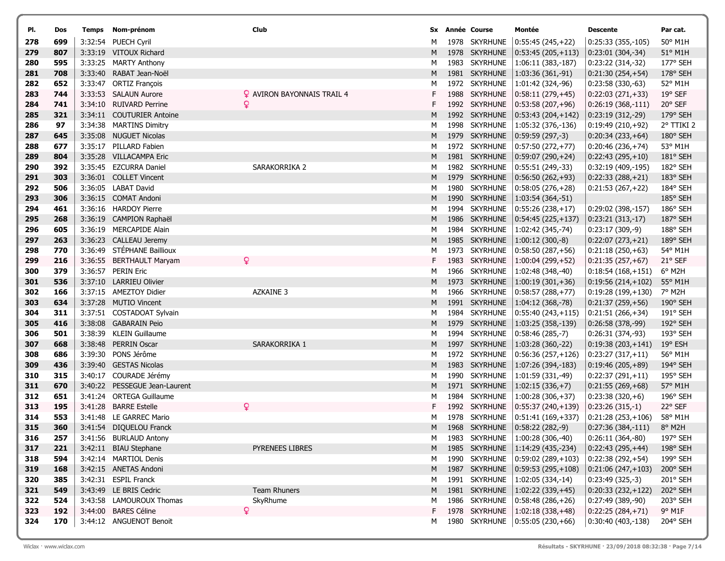| PI.        | Dos        | Temps Nom-prénom                                 | Club                              |        | Sx Année Course                | Montée                                      | Descente                                 | Par cat.            |
|------------|------------|--------------------------------------------------|-----------------------------------|--------|--------------------------------|---------------------------------------------|------------------------------------------|---------------------|
| 278        | 699        | 3:32:54 PUECH Cyril                              |                                   | м      | 1978 SKYRHUNE                  | $ 0:55:45(245,+22) $                        | $0:25:33(355,-105)$                      | 50° M1H             |
| 279        | 807        | 3:33:19 VITOUX Richard                           |                                   | Μ      | 1978 SKYRHUNE                  | $ 0:53:45(205,+113) $                       | $0:23:01(304,-34)$                       | 51° M1H             |
| 280        | 595        | 3:33:25 MARTY Anthony                            |                                   | М      | 1983 SKYRHUNE                  | $ 1:06:11(383,-187) $                       | 0:23:22 (314,-32)                        | 177° SEH            |
| 281        | 708        | 3:33:40 RABAT Jean-Noël                          |                                   | M      | 1981 SKYRHUNE                  | $ 1:03:36(361,-91) $                        | $0:21:30(254,+54)$                       | 178° SEH            |
| 282        | 652        | 3:33:47 ORTIZ François                           |                                   | М      | 1972 SKYRHUNE                  | $ 1:01:42(324,-96) $                        | 0:23:58 (330,-63)                        | 52° M1H             |
| 283        | 744        | 3:33:53 SALAUN Aurore                            | $\Omega$ aviron bayonnais trail 4 | F.     | 1988 SKYRHUNE                  | $ 0:58:11(279,+45) $                        | $0:22:03(271,+33)$                       | 19° SEF             |
| 284        | 741        | 3:34:10 RUIVARD Perrine                          | Q                                 |        | 1992 SKYRHUNE                  | $ 0:53:58(207,+96) $                        | $0:26:19(368,-111)$                      | 20° SEF             |
| 285        | 321        | 3:34:11 COUTURIER Antoine                        |                                   | M      | 1992 SKYRHUNE                  | $ 0:53:43(204,+142) $                       | $0:23:19(312,-29)$                       | $179°$ SEH          |
| 286        | 97         | 3:34:38 MARTINS Dimitry                          |                                   | Μ      | 1998 SKYRHUNE                  | $ 1:05:32(376,-136) $                       | $0:19:49(210,+92)$                       | 2° TTIKI 2          |
| 287        | 645        | 3:35:08 NUGUET Nicolas                           |                                   | M      | 1979 SKYRHUNE                  | $ 0:59:59(297,-3) $                         | $0:20:34(233,+64)$                       | 180° SEH            |
| 288        | 677        | 3:35:17 PILLARD Fabien                           |                                   | м      | 1972 SKYRHUNE                  | $ 0:57:50(272,+77) $                        | $0:20:46(236,+74)$                       | 53° M1H             |
| 289        | 804        | 3:35:28 VILLACAMPA Eric                          |                                   | M      | 1981 SKYRHUNE                  | $ 0:59:07(290,+24) $                        | $0:22:43(295,+10)$                       | 181° SEH            |
| 290        | 392        | 3:35:45 EZCURRA Daniel                           | SARAKORRIKA 2                     | М      | 1982 SKYRHUNE                  | $ 0:55:51(249,-33) $                        | 0:32:19 (409,-195)                       | 182° SEH            |
| 291        | 303        | 3:36:01 COLLET Vincent                           |                                   | M      | 1979 SKYRHUNE                  | $ 0:56:50(262,+93) $                        | $0:22:33(288,+21)$                       | 183° SEH            |
| 292        | 506        | 3:36:05 LABAT David                              |                                   | м      | 1980 SKYRHUNE                  | $ 0:58:05(276,+28) $                        | $0:21:53(267,+22)$                       | 184° SEH            |
| 293        | 306        | 3:36:15 COMAT Andoni                             |                                   | M      | 1990 SKYRHUNE                  | $ 1:03:54(364,-51) $                        |                                          | 185° SEH            |
| 294        | 461        | 3:36:16 HARDOY Pierre                            |                                   | м      | 1994 SKYRHUNE                  | $ 0:55:26(238,+17) $                        | 0:29:02 (398,-157)                       | 186° SEH            |
| 295        | 268        | 3:36:19 CAMPION Raphaël                          |                                   | Μ      | 1986 SKYRHUNE                  | $ 0:54:45(225,+137) $                       | $0:23:21(313,-17)$                       | 187° SEH            |
| 296        | 605        | 3:36:19 MERCAPIDE Alain                          |                                   | м      | 1984 SKYRHUNE                  | $ 1:02:42(345,-74) $                        | $0:23:17(309,-9)$                        | 188° SEH            |
| 297        | 263        | 3:36:23 CALLEAU Jeremy                           |                                   | M      | 1985 SKYRHUNE                  | $ 1:00:12(300,-8) $                         | $0:22:07(273,+21)$                       | 189° SEH            |
| 298        | 770        | 3:36:49 STÉPHANE Baillioux                       |                                   | м      | 1973 SKYRHUNE                  | $ 0:58:50(287,+56) $                        | $0:21:18(250,+63)$                       | 54° M1H             |
| 299        | 216        | 3:36:55 BERTHAULT Maryam                         | ¥                                 | F.     | 1983 SKYRHUNE                  | $ 1:00:04(299,+52) $                        | $0:21:35(257,+67)$                       | 21° SEF             |
| 300        | 379        | 3:36:57 PERIN Eric                               |                                   | м      | 1966 SKYRHUNE                  | $ 1:02:48(348,-40) $                        | $0:18:54(168,+151)$                      | 6° M2H              |
| 301        | 536        | 3:37:10 LARRIEU Olivier                          |                                   | M      | 1973 SKYRHUNE                  | $ 1:00:19(301,+36) $                        | $0:19:56(214,+102)$                      | 55° M1H             |
| 302        | 166        | 3:37:15 AMEZTOY Didier                           | <b>AZKAINE 3</b>                  | м      | 1966 SKYRHUNE                  | $ 0:58:57(288,+77) $                        | $0:19:28(199,+130)$                      | 7° M2H              |
| 303        | 634        | 3:37:28 MUTIO Vincent                            |                                   | Μ      | 1991 SKYRHUNE                  | $ 1:04:12(368,-78) $                        | $0:21:37(259,+56)$                       | 190° SEH            |
| 304        | 311        | 3:37:51 COSTADOAT Sylvain                        |                                   | м      | 1984 SKYRHUNE                  | $ 0:55:40(243,+115) $                       | $0:21:51(266,+34)$                       | $191^{\circ}$ SEH   |
| 305        | 416<br>501 | 3:38:08 GABARAIN Peio<br>3:38:39 KLEIN Guillaume |                                   | Μ      | 1979 SKYRHUNE<br>1994 SKYRHUNE | $ 1:03:25(358,-139) $                       | $0:26:58(378,-99)$                       | 192° SEH            |
| 306<br>307 | 668        | 3:38:48 PERRIN Oscar                             | SARAKORRIKA 1                     | м<br>M | 1997 SKYRHUNE                  | $ 0:58:46(285,-7) $<br>$ 1:03:28(360,-22) $ | 0:26:31 (374,-93)<br>$0:19:38(203,+141)$ | 193° SEH<br>19° ESH |
| 308        | 686        | 3:39:30 PONS Jérôme                              |                                   | м      | 1972 SKYRHUNE                  | $ 0:56:36(257,+126) $                       | $0:23:27(317,+11)$                       | 56° M1H             |
| 309        | 436        | 3:39:40 GESTAS Nicolas                           |                                   | M      | 1983 SKYRHUNE                  | $ 1:07:26(394,-183) $                       | $0:19:46(205,+89)$                       | 194° SEH            |
| 310        | 315        | 3:40:17 COURADE Jérémy                           |                                   | М      | 1990 SKYRHUNE                  | $ 1:01:59(331,-49) $                        | $0:22:37(291,+11)$                       | 195° SEH            |
| 311        | 670        | 3:40:22 PESSEGUE Jean-Laurent                    |                                   | M      | 1971 SKYRHUNE                  | $ 1:02:15(336,+7) $                         | $0:21:55(269,+68)$                       | 57° M1H             |
| 312        | 651        | 3:41:24 ORTEGA Guillaume                         |                                   | М      | 1984 SKYRHUNE                  | $ 1:00:28(306,+37) $                        | $0:23:38(320,+6)$                        | 196° SEH            |
| 313        | 195        | 3:41:28 BARRE Estelle                            | Q                                 | F.     | 1992 SKYRHUNE                  | $ 0:55:37(240,+139)$                        | $0:23:26(315,-1)$                        | 22° SEF             |
| 314        | 553        | 3:41:48 LE GARREC Mario                          |                                   | м      | 1978 SKYRHUNE                  | $ 0:51:41(169,+337)$                        | $0:21:28(253,+106)$                      | 58° M1H             |
| 315        | 360        | 3:41:54 DIQUELOU Franck                          |                                   | M      |                                | 1968 SKYRHUNE 0:58:22 (282,-9)              | $0:27:36(384,-111)$                      | 8° M2H              |
| 316        | 257        | 3:41:56 BURLAUD Antony                           |                                   | M      | 1983 SKYRHUNE                  | $ 1:00:28(306,-40) $                        | 0:26:11 (364,-80)                        | 197° SEH            |
| 317        | 221        | 3:42:11 BIAU Stephane                            | PYRENEES LIBRES                   | M      | 1985 SKYRHUNE                  | $1:14:29(435,-234)$                         | $0:22:43(295,+44)$                       | 198° SEH            |
| 318        | 594        | 3:42:14 MARTIOL Denis                            |                                   | м      | 1990 SKYRHUNE                  | $ 0:59:02(289,+103)$                        | $0:22:38(292,+54)$                       | 199° SEH            |
| 319        | 168        | 3:42:15 ANETAS Andoni                            |                                   | M      | 1987 SKYRHUNE                  | $ 0:59:53(295,+108) $                       | $0:21:06(247,+103)$                      | 200° SEH            |
| 320        | 385        | 3:42:31 ESPIL Franck                             |                                   | М      | 1991 SKYRHUNE                  | $ 1:02:05(334,-14) $                        | $0:23:49(325,-3)$                        | 201° SEH            |
| 321        | 549        | 3:43:49 LE BRIS Cedric                           | Team Rhuners                      | M      | 1981 SKYRHUNE                  | $ 1:02:22(339,+45) $                        | $0:20:33(232,+122)$                      | 202° SEH            |
| 322        | 524        | 3:43:58 LAMOUROUX Thomas                         | SkyRhume                          | м      | 1986 SKYRHUNE                  | $ 0:58:48(286,+26) $                        | 0:27:49 (389,-90)                        | 203° SEH            |
| 323        | 192        | 3:44:00 BARES Céline                             | ò                                 | F.     | 1978 SKYRHUNE                  | $ 1:02:18(338,+48) $                        | $0:22:25(284,+71)$                       | 9° M1F              |
| 324        | 170        | 3:44:12 ANGUENOT Benoit                          |                                   | М      |                                | 1980 SKYRHUNE   0:55:05 (230,+66)           | 0:30:40 (403,-138)                       | 204° SEH            |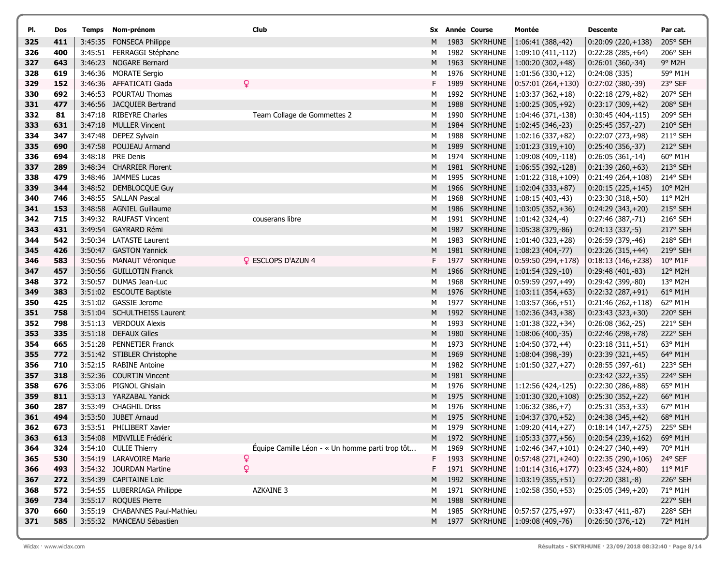| PI.        | Dos        | Temps   | Nom-prénom                                        | Club                                            |        |      | Sx Année Course                | Montée                                 | <b>Descente</b>                          | Par cat.            |
|------------|------------|---------|---------------------------------------------------|-------------------------------------------------|--------|------|--------------------------------|----------------------------------------|------------------------------------------|---------------------|
| 325        | 411        |         | 3:45:35 FONSECA Philippe                          |                                                 | M      |      | 1983 SKYRHUNE                  | $ 1:06:41(388,-42) $                   | $0:20:09(220,+138)$                      | 205° SEH            |
| 326        | 400        |         | 3:45:51 FERRAGGI Stéphane                         |                                                 | М      |      | 1982 SKYRHUNE                  | 1:09:10 (411,-112)                     | $0:22:28(285,+64)$                       | 206° SEH            |
| 327        | 643        |         | 3:46:23 NOGARE Bernard                            |                                                 | M      |      | 1963 SKYRHUNE                  | $ 1:00:20(302,+48) $                   | $0:26:01(360,-34)$                       | 9° M2H              |
| 328        | 619        |         | 3:46:36 MORATE Sergio                             |                                                 | М      |      | 1976 SKYRHUNE                  | $ 1:01:56(330,+12) $                   | 0:24:08(335)                             | 59° M1H             |
| 329        | 152        |         | 3:46:36 AFFATICATI Giada                          |                                                 | F.     |      | 1989 SKYRHUNE                  | $0:57:01(264,+130)$                    | $0:27:02(380,-39)$                       | 23° SEF             |
| 330        | 692        |         | 3:46:53 POURTAU Thomas                            |                                                 | М      |      | 1992 SKYRHUNE                  | $1:03:37(362,+18)$                     | $0:22:18(279,+82)$                       | 207° SEH            |
| 331        | 477        |         | 3:46:56 JACQUIER Bertrand                         |                                                 | M      |      | 1988 SKYRHUNE                  | $1:00:25(305,+92)$                     | $0:23:17(309,+42)$                       | 208° SEH            |
| 332        | 81         |         | 3:47:18 RIBEYRE Charles                           | Team Collage de Gommettes 2                     | м      |      | 1990 SKYRHUNE                  | 1:04:46 (371,-138)                     | 0:30:45 (404,-115)                       | 209° SEH            |
| 333        | 631        |         | 3:47:18 MULLER Vincent                            |                                                 | M      |      | 1984 SKYRHUNE                  | 1:02:45 (346,-23)                      | 0:25:45 (357,-27)                        | 210° SEH            |
| 334        | 347        |         | 3:47:48 DEPEZ Sylvain                             |                                                 | М      |      | 1988 SKYRHUNE                  | $1:02:16(337,+82)$                     | $0:22:07(273,+98)$                       | 211° SEH            |
| 335        | 690        |         | 3:47:58 POUJEAU Armand                            |                                                 | M      |      | 1989 SKYRHUNE                  | $1:01:23(319,+10)$                     | 0:25:40 (356,-37)                        | 212° SEH            |
| 336        | 694        |         | 3:48:18 PRE Denis                                 |                                                 | М      |      | 1974 SKYRHUNE                  | 1:09:08 (409,-118)                     | $0:26:05(361,-14)$                       | 60° M1H             |
| 337        | 289        |         | 3:48:34 CHARRIER Florent                          |                                                 | M      |      | 1981 SKYRHUNE                  | $ 1:06:55(392,-128) $                  | $0:21:39(260,+63)$                       | 213° SEH            |
| 338        | 479        |         | 3:48:46 JAMMES Lucas                              |                                                 | М      |      | 1995 SKYRHUNE                  | $ 1:01:22(318,+109)$                   | $0:21:49(264,+108)$                      | 214° SEH            |
| 339        | 344        |         | 3:48:52 DEMBLOCQUE Guy                            |                                                 | M      |      | 1966 SKYRHUNE                  | $ 1:02:04(333,+87) $                   | $0:20:15(225,+145)$                      | 10° M2H             |
| 340        | 746        |         | 3:48:55 SALLAN Pascal                             |                                                 | М      |      | 1968 SKYRHUNE                  | 1:08:15 (403,-43)                      | $0:23:30(318,+50)$                       | 11° M2H             |
| 341        | 153        |         | 3:48:58 AGNIEL Guillaume                          |                                                 | M      |      | 1986 SKYRHUNE                  | $ 1:03:05(352,+36) $                   | $0:24:29(343,+20)$                       | 215° SEH            |
| 342        | 715        |         | 3:49:32 RAUFAST Vincent                           | couserans libre                                 | М      |      | 1991 SKYRHUNE                  | 1:01:42 (324,-4)                       | 0:27:46 (387,-71)                        | 216° SEH            |
| 343        | 431        |         | 3:49:54 GAYRARD Rémi                              |                                                 | M      | 1987 | <b>SKYRHUNE</b>                | $ 1:05:38(379,-86) $                   | $0:24:13(337,-5)$                        | 217° SEH            |
| 344        | 542        |         | 3:50:34 LATASTE Laurent                           |                                                 | М      |      | 1983 SKYRHUNE                  | $1:01:40(323,+28)$                     | 0:26:59 (379,-46)                        | 218° SEH            |
| 345        | 426        |         | 3:50:47 GASTON Yannick                            |                                                 | M      |      | 1981 SKYRHUNE                  | $ 1:08:23(404,-77) $                   | $0:23:26(315,+44)$                       | 219° SEH            |
| 346        | 583        |         | 3:50:56 MANAUT Véronique                          | <b>Q</b> ESCLOPS D'AZUN 4                       | F.     |      | 1977 SKYRHUNE                  | $ 0.59:50(294,+178) $                  | $0:18:13(146,+238)$                      | $10^{\circ}$ M1F    |
| 347        | 457        |         | 3:50:56 GUILLOTIN Franck                          |                                                 | M      |      | 1966 SKYRHUNE                  | $ 1:01:54(329,-10) $                   | $0:29:48(401,-83)$                       | 12° M2H             |
| 348        | 372        | 3:50:57 | DUMAS Jean-Luc                                    |                                                 | М      |      | 1968 SKYRHUNE                  | $(0:59:59(297,+49))$                   | 0:29:42 (399,-80)                        | 13° M2H             |
| 349        | 383        |         | 3:51:02 ESCOUTE Baptiste                          |                                                 | M      |      | 1976 SKYRHUNE                  | $ 1:03:11(354,+63) $                   | $0:22:32(287,+91)$                       | 61° M1H             |
| 350        | 425        |         | 3:51:02 GASSIE Jerome                             |                                                 | М      |      | 1977 SKYRHUNE                  | $1:03:57(366,+51)$                     | $0:21:46(262,+118)$                      | 62° M1H             |
| 351        | 758        |         | 3:51:04 SCHULTHEISS Laurent                       |                                                 | M      |      | 1992 SKYRHUNE                  | $ 1:02:36(343,+38) $                   | $0:23:43(323,+30)$                       | 220° SEH            |
| 352        | 798        |         | 3:51:13 VERDOUX Alexis                            |                                                 | М      |      | 1993 SKYRHUNE                  | 1:01:38 (322,+34)                      | 0:26:08 (362,-25)                        | 221° SEH            |
| 353<br>354 | 335<br>665 |         | 3:51:18 DEFAUX Gilles<br>3:51:28 PENNETIER Franck |                                                 | M<br>М |      | 1980 SKYRHUNE<br>1973 SKYRHUNE | 1:08:06 (400,-35)<br>$1:04:50(372,+4)$ | $0:22:46(298,+78)$<br>$0:23:18(311,+51)$ | 222° SEH<br>63° M1H |
| 355        | 772        |         | 3:51:42 STIBLER Christophe                        |                                                 | M      |      | 1969 SKYRHUNE                  | $1:08:04(398,-39)$                     | $0:23:39(321,+45)$                       | 64° M1H             |
| 356        | 710        |         | 3:52:15 RABINE Antoine                            |                                                 | М      |      | 1982 SKYRHUNE                  | $ 1:01:50(327,+27) $                   | $0:28:55(397,-61)$                       | 223° SEH            |
| 357        | 318        |         | 3:52:36 COURTIN Vincent                           |                                                 | M      |      | 1981 SKYRHUNE                  |                                        | $0:23:42(322,+35)$                       | 224° SEH            |
| 358        | 676        |         | 3:53:06 PIGNOL Ghislain                           |                                                 | М      |      | 1976 SKYRHUNE                  | 1:12:56 (424,-125)                     | $0:22:30(286,+88)$                       | 65° M1H             |
| 359        | 811        |         | 3:53:13 YARZABAL Yanick                           |                                                 | M      |      | 1975 SKYRHUNE                  | $ 1:01:30(320,+108) $                  | $0:25:30(352,+22)$                       | 66° M1H             |
| 360        | 287        |         | 3:53:49 CHAGHIL Driss                             |                                                 | М      |      | 1976 SKYRHUNE                  | $1:06:32(386,+7)$                      | $0:25:31(353,+33)$                       | 67° M1H             |
| 361        | 494        |         | 3:53:50 JUBET Arnaud                              |                                                 | M      |      | 1975 SKYRHUNE                  | $ 1:04:37(370,+52) $                   | $ 0:24:38(345,+42) $                     | 68° M1H             |
| 362        | 673        |         | 3:53:51 PHILIBERT Xavier                          |                                                 | М      |      |                                | 1979 SKYRHUNE   1:09:20 (414,+27)      | $0:18:14(147,+275)$                      | 225° SEH            |
| 363        | 613        |         | 3:54:08 MINVILLE Frédéric                         |                                                 | м      |      | 1972 SKYRHUNE                  | $1:05:33(377,+56)$                     | $0:20:54(239,+162)$                      | 69° M1H             |
| 364        | 324        |         | 3:54:10 CULIE Thierry                             | Équipe Camille Léon - « Un homme parti trop tôt | М      |      | 1969 SKYRHUNE                  | $1:02:46(347,+101)$                    | $0:24:27(340,+49)$                       | 70° M1H             |
| 365        | 530        |         | 3:54:19 LARAVOIRE Marie                           | Q                                               | F      |      | 1993 SKYRHUNE                  | $ 0:57:48(271,+240)$                   | $0:22:35(290,+106)$                      | 24° SEF             |
| 366        | 493        |         | 3:54:32 JOURDAN Martine                           | Q                                               | F.     |      | 1971 SKYRHUNE                  | $ 1:01:14(316,+177)$                   | $0:23:45(324,+80)$                       | 11° M1F             |
| 367        | 272        |         | 3:54:39 CAPITAINE Loïc                            |                                                 | M      |      | 1992 SKYRHUNE                  | $ 1:03:19(355,+51) $                   | $ 0:27:20(381,-8) $                      | 226° SEH            |
| 368        | 572        |         | 3:54:55 LUBERRIAGA Philippe                       | <b>AZKAINE 3</b>                                | М      |      | 1971 SKYRHUNE                  | $1:02:58(350,+53)$                     | $0:25:05(349,+20)$                       | 71° M1H             |
| 369        | 734        |         | 3:55:17 ROQUES Pierre                             |                                                 | M      |      | 1988 SKYRHUNE                  |                                        |                                          | 227° SEH            |
| 370        | 660        |         | 3:55:19 CHABANNES Paul-Mathieu                    |                                                 | M      |      | 1985 SKYRHUNE                  | $ 0:57:57(275,+97) $                   | $0:33:47(411,-87)$                       | 228° SEH            |
| 371        | 585        |         | 3:55:32 MANCEAU Sébastien                         |                                                 | м      |      |                                | 1977 SKYRHUNE   1:09:08 (409,-76)      | $ 0:26:50(376,-12) $                     | 72° M1H             |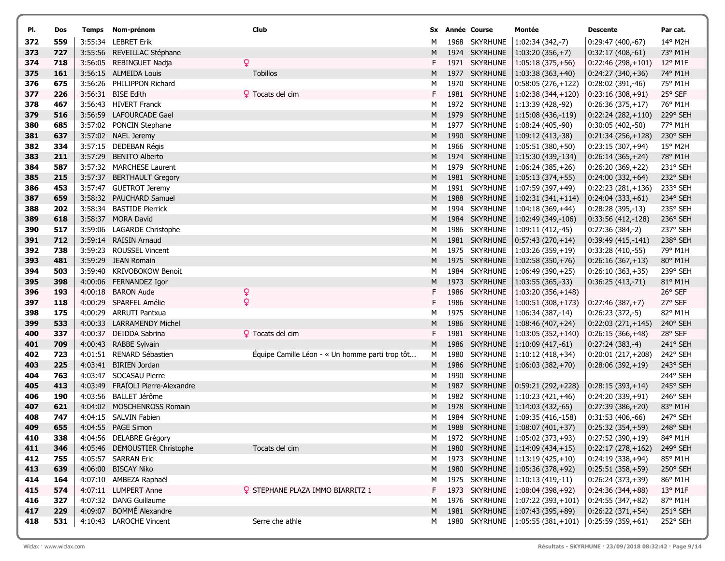| PI.        | Dos        | Temps Nom-prénom                                    | Club                                            |        | <b>Sx Année Course</b>         | Montée                                             | Descente                                 | Par cat.             |
|------------|------------|-----------------------------------------------------|-------------------------------------------------|--------|--------------------------------|----------------------------------------------------|------------------------------------------|----------------------|
| 372        | 559        | 3:55:34 LEBRET Erik                                 |                                                 | Μ      | 1968 SKYRHUNE                  | $1:02:34(342,-7)$                                  | 0:29:47 (400,-67)                        | 14° M2H              |
| 373        | 727        | 3:55:56 REVEILLAC Stéphane                          |                                                 | M      | 1974 SKYRHUNE                  | $ 1:03:20(356,+7) $                                | $0:32:17(408,-61)$                       | 73° M1H              |
| 374        | 718        | 3:56:05 REBINGUET Nadja                             | ò                                               | F.     | 1971 SKYRHUNE                  | $ 1:05:18(375,+56) $                               | $0:22:46(298,+101)$                      | $12^{\circ}$ M1F     |
| 375        | 161        | 3:56:15 ALMEIDA Louis                               | <b>Tobillos</b>                                 | Μ      | 1977 SKYRHUNE                  | $ 1:03:38(363,+40) $                               | $0:24:27(340,+36)$                       | 74° M1H              |
| 376        | 675        | 3:56:26 PHILIPPON Richard                           |                                                 | М      | 1970 SKYRHUNE                  | $0:58:05(276,+122)$                                | $0:28:02(391,-46)$                       | 75° M1H              |
| 377        | 226        | 3:56:31 BISE Edith                                  | <b>Q</b> Tocats del cim                         | F.     | 1981 SKYRHUNE                  | $ 1:02:38(344,+120)$                               | $0:23:16(308,+91)$                       | 25° SEF              |
| 378        | 467        | 3:56:43 HIVERT Franck                               |                                                 | м      | 1972 SKYRHUNE                  | $ 1:13:39(428,-92) $                               | $0:26:36(375,+17)$                       | 76° M1H              |
| 379        | 516        | 3:56:59 LAFOURCADE Gael                             |                                                 | м      | 1979 SKYRHUNE                  | $ 1:15:08(436,-119) $                              | $0:22:24(282,+110)$                      | 229° SEH             |
| 380        | 685        | 3:57:02 PONCIN Stephane                             |                                                 | м      | 1977 SKYRHUNE                  | $1:08:24(405,-90)$                                 | 0:30:05 (402,-50)                        | 77° M1H              |
| 381        | 637        | 3:57:02 NAEL Jeremy                                 |                                                 | Μ      | 1990 SKYRHUNE                  | $ 1:09:12(413,-38) $                               | $0:21:34(256,+128)$                      | 230° SEH             |
| 382        | 334        | 3:57:15 DEDEBAN Régis                               |                                                 | м      | 1966 SKYRHUNE                  | $ 1:05:51(380,+50) $                               | $0:23:15(307,+94)$                       | 15° M2H              |
| 383        | 211        | 3:57:29 BENITO Alberto                              |                                                 | Μ      | 1974 SKYRHUNE                  | $ 1:15:30(439,-134) $                              | $0:26:14(365,+24)$                       | 78° M1H              |
| 384        | 587        | 3:57:32 MARCHESE Laurent                            |                                                 | м      | 1979 SKYRHUNE                  | $ 1:06:24(385,+26) $                               | $0:26:20(369,+22)$                       | 231° SEH             |
| 385        | 215        | 3:57:37 BERTHAULT Gregory                           |                                                 | M      | 1981 SKYRHUNE                  | $ 1:05:13(374,+55) $                               | $0:24:00(332,+64)$                       | 232° SEH             |
| 386        | 453        | 3:57:47 GUETROT Jeremy                              |                                                 | М      | 1991 SKYRHUNE                  | $ 1:07:59(397,+49)$                                | $0:22:23(281,+136)$                      | 233° SEH             |
| 387        | 659        | 3:58:32 PAUCHARD Samuel<br>3:58:34 BASTIDE Pierrick |                                                 | M      | 1988 SKYRHUNE                  | $ 1:02:31(341,+114) $                              | $0:24:04(333,+61)$                       | 234° SEH             |
| 388<br>389 | 202<br>618 | 3:58:37 MORA David                                  |                                                 | м<br>Μ | 1994 SKYRHUNE<br>1984 SKYRHUNE | $ 1:04:18(369,+44)$                                | $0:28:28(395,-13)$                       | 235° SEH<br>236° SEH |
| 390        | 517        | 3:59:06 LAGARDE Christophe                          |                                                 | м      | 1986 SKYRHUNE                  | $ 1:02:49(349,-106) $<br>$\vert$ 1:09:11 (412,-45) | $0:33:56(412,-128)$<br>$0:27:36(384,-2)$ | 237° SEH             |
| 391        | 712        | 3:59:14 RAISIN Arnaud                               |                                                 | Μ      | 1981 SKYRHUNE                  | $ 0:57:43(270,+14) $                               | 0:39:49 (415,-141)                       | 238° SEH             |
| 392        | 738        | 3:59:23 ROUSSEL Vincent                             |                                                 | м      | 1975 SKYRHUNE                  | $ 1:03:26(359,+19) $                               | $0:33:28(410,-55)$                       | 79° M1H              |
| 393        | 481        | 3:59:29 JEAN Romain                                 |                                                 | М      | 1975 SKYRHUNE                  | $1:02:58(350,+76)$                                 | $0:26:16(367,+13)$                       | 80° M1H              |
| 394        | 503        | 3:59:40 KRIVOBOKOW Benoit                           |                                                 | м      | 1984 SKYRHUNE                  | $ 1:06:49(390,+25) $                               | $0:26:10(363,+35)$                       | 239° SEH             |
| 395        | 398        | 4:00:06 FERNANDEZ Igor                              |                                                 | Μ      | 1973 SKYRHUNE                  | $ 1:03:55(365,-33) $                               | $0:36:25(413,-71)$                       | 81° M1H              |
| 396        | 193        | 4:00:18 BARON Aude                                  | ò                                               | F.     | 1986 SKYRHUNE                  | $ 1:03:20(356,+148)$                               |                                          | 26° SEF              |
| 397        | 118        | 4:00:29 SPARFEL Amélie                              | Q                                               | F      | 1986 SKYRHUNE                  | $ 1:00:51(308,+173) $                              | $0:27:46(387,+7)$                        | 27° SEF              |
| 398        | 175        | 4:00:29 ARRUTI Pantxua                              |                                                 | M      | 1975 SKYRHUNE                  | $ 1:06:34(387,-14) $                               | $0:26:23(372,-5)$                        | 82° M1H              |
| 399        | 533        | 4:00:33 LARRAMENDY Michel                           |                                                 | M      | 1986 SKYRHUNE                  | $ 1:08:46(407,+24) $                               | $0:22:03(271,+145)$                      | 240° SEH             |
| 400        | 337        | 4:00:37 DEIDDA Sabrina                              | <b>?</b> Tocats del cim                         | F.     | 1981 SKYRHUNE                  | 1:03:05 (352,+140)                                 | $0:26:15(366,+48)$                       | 28° SEF              |
| 401        | 709        | 4:00:43 RABBE Sylvain                               |                                                 | Μ      | 1986 SKYRHUNE                  | $ 1:10:09(417,-61) $                               | $0:27:24(383,-4)$                        | 241° SEH             |
| 402        | 723        | 4:01:51 RENARD Sébastien                            | Equipe Camille Léon - « Un homme parti trop tôt | м      | 1980 SKYRHUNE                  | $ 1:10:12(418,+34) $                               | $0:20:01(217,+208)$                      | 242° SEH             |
| 403        | 225        | 4:03:41 BIRIEN Jordan                               |                                                 | Μ      | 1986 SKYRHUNE                  | $ 1:06:03(382,+70) $                               | $0:28:06(392,+19)$                       | 243° SEH             |
| 404        | 763        | 4:03:47 SOCASAU Pierre                              |                                                 | м      | 1990 SKYRHUNE                  |                                                    |                                          | 244° SEH             |
| 405        | 413        | 4:03:49 FRAÏOLI Pierre-Alexandre                    |                                                 | M      | 1987 SKYRHUNE                  | $ 0:59:21(292,+228) $                              | $0:28:15(393,+14)$                       | 245° SEH             |
| 406        | 190        | 4:03:56 BALLET Jérôme                               |                                                 | М      | 1982 SKYRHUNE                  | $ 1:10:23(421,+46) $                               | $0:24:20(339,+91)$                       | 246° SEH             |
| 407        | 621        | 4:04:02 MOSCHENROSS Romain                          |                                                 | Μ      | 1978 SKYRHUNE                  | $ 1:14:03(432,-65) $                               | $0:27:39(386,+20)$                       | 83° M1H              |
| 408        | 747        | 4:04:15 SALVIN Fabien                               |                                                 | м      | 1984 SKYRHUNE                  | $ 1:09:35(416,-158) $                              | $0:31:53(406,-66)$                       | 247° SEH             |
| 409        | 655        | 4:04:55 PAGE Simon                                  |                                                 | м      | 1988 SKYRHUNE                  | 1:08:07 (401, + 37)                                | $ 0:25:32(354,+59) $                     | 248° SEH             |
| 410        | 338        | 4:04:56 DELABRE Grégory                             |                                                 | M      | 1972 SKYRHUNE                  | $1:05:02(373,+93)$                                 | $0:27:52(390,+19)$                       | 84° M1H              |
| 411        | 346        | 4:05:46 DEMOUSTIER Christophe                       | Tocats del cim                                  | M      | 1980 SKYRHUNE                  | $ 1:14:09(434,+15) $                               | $0:22:17(278,+162)$                      | 249° SEH             |
| 412<br>413 | 755<br>639 | 4:05:57 SARRAN Eric<br>4:06:00 BISCAY Niko          |                                                 | м<br>M | 1973 SKYRHUNE<br>1980 SKYRHUNE | $ 1:13:19(425,+10) $<br>$1:05:36(378,+92)$         | $0:24:19(338,+94)$                       | 85° M1H<br>250° SEH  |
| 414        | 164        | 4:07:10 AMBEZA Raphaël                              |                                                 | м      | 1975 SKYRHUNE                  | 1:10:13 (419,-11)                                  | $0:25:51(358,+59)$<br>$0:26:24(373,+39)$ | 86° M1H              |
| 415        | 574        | 4:07:11 LUMPERT Anne                                | <b>2</b> STEPHANE PLAZA IMMO BIARRITZ 1         | F.     | 1973 SKYRHUNE                  | $ 1:08:04(398,+92) $                               | $0:24:36(344,+88)$                       | $13^{\circ}$ M1F     |
| 416        | 327        | 4:07:32 DANG Guillaume                              |                                                 | м      | 1976 SKYRHUNE                  | $ 1:07:22(393,+101)$                               | $0:24:55(347,+82)$                       | 87° M1H              |
| 417        | 229        | 4:09:07 BOMMÉ Alexandre                             |                                                 | M      |                                | 1981 SKYRHUNE   1:07:43 (395, +89)                 | $0:26:22(371,+54)$                       | 251° SEH             |
| 418        | 531        | 4:10:43 LAROCHE Vincent                             | Serre che athle                                 | M      |                                | 1980 SKYRHUNE   1:05:55 (381,+101)                 | $ 0:25:59(359,+61) $                     | 252° SEH             |
|            |            |                                                     |                                                 |        |                                |                                                    |                                          |                      |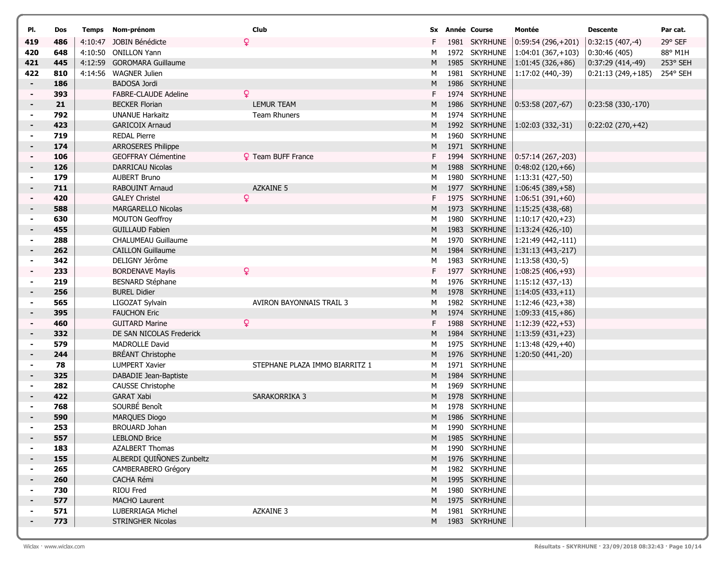| PI.            | Dos        | Temps Nom-prénom                       | Club                           |        | Sx Année Course | Montée                                                  | <b>Descente</b>     | Par cat. |
|----------------|------------|----------------------------------------|--------------------------------|--------|-----------------|---------------------------------------------------------|---------------------|----------|
| 419            | 486        | 4:10:47 JOBIN Bénédicte                | ò                              | F.     | 1981 SKYRHUNE   | $ 0:59:54(296,+201)$                                    | $0:32:15(407,-4)$   | 29° SEF  |
| 420            | 648        | 4:10:50 ONILLON Yann                   |                                | М      | 1972 SKYRHUNE   | $1:04:01(367,+103)$                                     | 0:30:46(405)        | 88° M1H  |
| 421            | 445        | 4:12:59 GOROMARA Guillaume             |                                | M      | 1985 SKYRHUNE   | $1:01:45(326,+86)$                                      | $0:37:29(414,-49)$  | 253° SEH |
| 422            | 810        | 4:14:56 WAGNER Julien                  |                                | м      | 1981 SKYRHUNE   | 1:17:02 (440,-39)                                       | $0:21:13(249,+185)$ | 254° SEH |
| $\sim$         | 186        | BADOSA Jordi                           |                                | M      | 1986 SKYRHUNE   |                                                         |                     |          |
|                | 393        | <b>FABRE-CLAUDE Adeline</b>            | ò                              | F.     | 1974 SKYRHUNE   |                                                         |                     |          |
|                | 21         | <b>BECKER Florian</b>                  | <b>LEMUR TEAM</b>              | M      | 1986 SKYRHUNE   | $ 0:53:58(207,-67) $                                    | $0:23:58(330,-170)$ |          |
| $\blacksquare$ | 792        | <b>UNANUE Harkaitz</b>                 | <b>Team Rhuners</b>            | м      | 1974 SKYRHUNE   |                                                         |                     |          |
| $\blacksquare$ | 423        | <b>GARICOIX Arnaud</b>                 |                                | M      | 1992 SKYRHUNE   | $ 1:02:03(332,-31) $                                    | $0:22:02(270,+42)$  |          |
|                | 719        | <b>REDAL Pierre</b>                    |                                | м      | 1960 SKYRHUNE   |                                                         |                     |          |
|                | 174        | <b>ARROSERES Philippe</b>              |                                | M      | 1971 SKYRHUNE   |                                                         |                     |          |
|                | 106        | GEOFFRAY Clémentine                    | <b>Q</b> Team BUFF France      |        | 1994 SKYRHUNE   | $ 0:57:14(267,-203) $                                   |                     |          |
|                | 126        | <b>DARRICAU Nicolas</b>                |                                | M      | 1988 SKYRHUNE   | $ 0:48:02(120,+66) $                                    |                     |          |
|                | 179        | <b>AUBERT Bruno</b>                    |                                | м      | 1980 SKYRHUNE   | $1:13:31(427,-50)$                                      |                     |          |
| ٠.             | 711        | RABOUINT Arnaud                        | <b>AZKAINE 5</b>               | M      | 1977 SKYRHUNE   | $1:06:45(389,+58)$                                      |                     |          |
|                | 420        | <b>GALEY Christel</b>                  | ò                              | F.     | 1975 SKYRHUNE   | $1:06:51(391,+60)$                                      |                     |          |
|                | 588        | MARGARELLO Nicolas                     |                                | M      | 1973 SKYRHUNE   | $1:15:25(438,-68)$                                      |                     |          |
| $\blacksquare$ | 630        | <b>MOUTON Geoffroy</b>                 |                                | м      | 1980 SKYRHUNE   | 1:10:17 (420, + 23)                                     |                     |          |
| ۰              | 455        | <b>GUILLAUD Fabien</b>                 |                                | M      | 1983 SKYRHUNE   | $ 1:13:24(426,-10) $                                    |                     |          |
|                | 288        | <b>CHALUMEAU Guillaume</b>             |                                | M      | 1970 SKYRHUNE   | $ 1:21:49(442,-111)$                                    |                     |          |
| $\blacksquare$ | 262        | <b>CAILLON Guillaume</b>               |                                | Μ      | 1984 SKYRHUNE   | $1:31:13(443,-217)$                                     |                     |          |
|                | 342        | DELIGNY Jérôme                         |                                | м      | 1983 SKYRHUNE   | $ 1:13:58(430,-5) $                                     |                     |          |
|                | 233        | <b>BORDENAVE Maylis</b>                | Q                              | F.     | 1977 SKYRHUNE   | $1:08:25(406,+93)$                                      |                     |          |
|                | 219        | <b>BESNARD Stéphane</b>                |                                | м      |                 | 1976 SKYRHUNE   1:15:12 (437,-13)                       |                     |          |
| ۰              | 256        | <b>BUREL Didier</b>                    |                                | M      | 1978 SKYRHUNE   | $1:14:05(433,+11)$                                      |                     |          |
|                | 565<br>395 | LIGOZAT Sylvain<br><b>FAUCHON Eric</b> | AVIRON BAYONNAIS TRAIL 3       | м<br>M | 1982 SKYRHUNE   | $1:12:46(423,+38)$<br>1974 SKYRHUNE   1:09:33 (415,+86) |                     |          |
| $\blacksquare$ | 460        | <b>GUITARD Marine</b>                  | ò.                             | F.     | 1988 SKYRHUNE   | $ 1:12:39(422,+53) $                                    |                     |          |
|                | 332        | DE SAN NICOLAS Frederick               |                                | M      | 1984 SKYRHUNE   | $1:13:59(431,+23)$                                      |                     |          |
|                | 579        | MADROLLE David                         |                                | м      | 1975 SKYRHUNE   | 1:13:48 (429,+40)                                       |                     |          |
|                | 244        | <b>BRÉANT Christophe</b>               |                                | M      | 1976 SKYRHUNE   | 1:20:50 (441,-20)                                       |                     |          |
|                | 78         | <b>LUMPERT Xavier</b>                  | STEPHANE PLAZA IMMO BIARRITZ 1 | м      | 1971 SKYRHUNE   |                                                         |                     |          |
| $\blacksquare$ | 325        | DABADIE Jean-Baptiste                  |                                | M      | 1984 SKYRHUNE   |                                                         |                     |          |
|                | 282        | CAUSSE Christophe                      |                                | м      | 1969 SKYRHUNE   |                                                         |                     |          |
| $\blacksquare$ | 422        | <b>GARAT Xabi</b>                      | SARAKORRIKA 3                  | M      | 1978 SKYRHUNE   |                                                         |                     |          |
|                | 768        | SOURBÉ Benoît                          |                                | м      | 1978 SKYRHUNE   |                                                         |                     |          |
|                | 590        | <b>MARQUES Diogo</b>                   |                                | Μ      | 1986 SKYRHUNE   |                                                         |                     |          |
|                | 253        | <b>BROUARD Johan</b>                   |                                | М      | 1990 SKYRHUNE   |                                                         |                     |          |
|                | 557        | <b>LEBLOND Brice</b>                   |                                |        | M 1985 SKYRHUNE |                                                         |                     |          |
|                | 183        | <b>AZALBERT Thomas</b>                 |                                |        | M 1990 SKYRHUNE |                                                         |                     |          |
|                | 155        | ALBERDI QUIÑONES Zunbeltz              |                                |        | M 1976 SKYRHUNE |                                                         |                     |          |
|                | 265        | CAMBERABERO Grégory                    |                                |        | M 1982 SKYRHUNE |                                                         |                     |          |
|                | 260        | CACHA Rémi                             |                                |        | M 1995 SKYRHUNE |                                                         |                     |          |
|                | 730        | RIOU Fred                              |                                | M      | 1980 SKYRHUNE   |                                                         |                     |          |
|                | 577        | MACHO Laurent                          |                                |        | M 1975 SKYRHUNE |                                                         |                     |          |
|                | 571        | LUBERRIAGA Michel                      | <b>AZKAINE 3</b>               | M      | 1981 SKYRHUNE   |                                                         |                     |          |
|                | 773        | STRINGHER Nicolas                      |                                |        | M 1983 SKYRHUNE |                                                         |                     |          |
|                |            |                                        |                                |        |                 |                                                         |                     |          |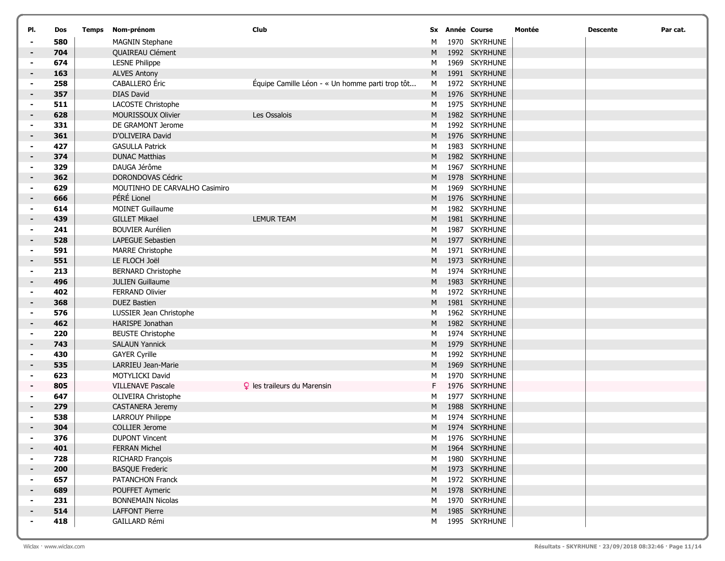| PI.                 | Dos        | Temps Nom-prénom                                    | Club                                            |        | Sx Année Course                | Montée | <b>Descente</b> | Par cat. |
|---------------------|------------|-----------------------------------------------------|-------------------------------------------------|--------|--------------------------------|--------|-----------------|----------|
| ۰                   | 580        | <b>MAGNIN Stephane</b>                              |                                                 | M      | 1970 SKYRHUNE                  |        |                 |          |
| $\blacksquare$      | 704        | QUAIREAU Clément                                    |                                                 | M      | 1992 SKYRHUNE                  |        |                 |          |
|                     | 674        | <b>LESNE Philippe</b>                               |                                                 | M      | 1969 SKYRHUNE                  |        |                 |          |
| ۰                   | 163        | <b>ALVES Antony</b>                                 |                                                 | M      | 1991 SKYRHUNE                  |        |                 |          |
|                     | 258        | CABALLERO Éric                                      | Équipe Camille Léon - « Un homme parti trop tôt | M      | 1972 SKYRHUNE                  |        |                 |          |
| $\blacksquare$      | 357        | <b>DIAS David</b>                                   |                                                 | M      | 1976 SKYRHUNE                  |        |                 |          |
|                     | 511        | LACOSTE Christophe                                  |                                                 | M      | 1975 SKYRHUNE                  |        |                 |          |
| ۰                   | 628        | MOURISSOUX Olivier                                  | Les Ossalois                                    | M      | 1982 SKYRHUNE                  |        |                 |          |
|                     | 331        | DE GRAMONT Jerome                                   |                                                 | M      | 1992 SKYRHUNE                  |        |                 |          |
|                     | 361        | D'OLIVEIRA David                                    |                                                 | M      | 1976 SKYRHUNE                  |        |                 |          |
| $\blacksquare$      | 427        | <b>GASULLA Patrick</b>                              |                                                 | M      | 1983 SKYRHUNE                  |        |                 |          |
|                     | 374        | <b>DUNAC Matthias</b>                               |                                                 | M      | 1982 SKYRHUNE                  |        |                 |          |
|                     | 329        | DAUGA Jérôme                                        |                                                 | M      | 1967 SKYRHUNE                  |        |                 |          |
| $\blacksquare$      | 362        | DORONDOVAS Cédric                                   |                                                 | M      | 1978 SKYRHUNE                  |        |                 |          |
| $\blacksquare$      | 629        | MOUTINHO DE CARVALHO Casimiro                       |                                                 | M      | 1969 SKYRHUNE                  |        |                 |          |
| $\blacksquare$      | 666        | PÉRÉ Lionel                                         |                                                 | M      | 1976 SKYRHUNE                  |        |                 |          |
|                     | 614        | <b>MOINET Guillaume</b>                             |                                                 | M      | 1982 SKYRHUNE                  |        |                 |          |
| $\blacksquare$      | 439        | <b>GILLET Mikael</b>                                | <b>LEMUR TEAM</b>                               | M      | 1981 SKYRHUNE                  |        |                 |          |
|                     | 241        | <b>BOUVIER Aurélien</b><br><b>LAPEGUE Sebastien</b> |                                                 | М      | 1987 SKYRHUNE                  |        |                 |          |
| ۰<br>$\blacksquare$ | 528<br>591 | <b>MARRE Christophe</b>                             |                                                 | M<br>M | 1977 SKYRHUNE<br>1971 SKYRHUNE |        |                 |          |
| ۰                   | 551        | LE FLOCH Joël                                       |                                                 | M      | 1973 SKYRHUNE                  |        |                 |          |
|                     | 213        | <b>BERNARD Christophe</b>                           |                                                 | M      | 1974 SKYRHUNE                  |        |                 |          |
|                     | 496        | <b>JULIEN Guillaume</b>                             |                                                 | M      | 1983 SKYRHUNE                  |        |                 |          |
| $\blacksquare$      | 402        | <b>FERRAND Olivier</b>                              |                                                 | M      | 1972 SKYRHUNE                  |        |                 |          |
| ۰                   | 368        | <b>DUEZ Bastien</b>                                 |                                                 | M      | 1981 SKYRHUNE                  |        |                 |          |
|                     | 576        | LUSSIER Jean Christophe                             |                                                 | M      | 1962 SKYRHUNE                  |        |                 |          |
|                     | 462        | HARISPE Jonathan                                    |                                                 | M      | 1982 SKYRHUNE                  |        |                 |          |
|                     | 220        | <b>BEUSTE Christophe</b>                            |                                                 | M      | 1974 SKYRHUNE                  |        |                 |          |
| $\blacksquare$      | 743        | <b>SALAUN Yannick</b>                               |                                                 | M      | 1979 SKYRHUNE                  |        |                 |          |
|                     | 430        | <b>GAYER Cyrille</b>                                |                                                 | M      | 1992 SKYRHUNE                  |        |                 |          |
| $\blacksquare$      | 535        | LARRIEU Jean-Marie                                  |                                                 | M      | 1969 SKYRHUNE                  |        |                 |          |
|                     | 623        | MOTYLICKI David                                     |                                                 | M      | 1970 SKYRHUNE                  |        |                 |          |
|                     | 805        | <b>VILLENAVE Pascale</b>                            | <b>Q</b> les traileurs du Marensin              | F.     | 1976 SKYRHUNE                  |        |                 |          |
| $\blacksquare$      | 647        | OLIVEIRA Christophe                                 |                                                 | M      | 1977 SKYRHUNE                  |        |                 |          |
|                     | 279        | <b>CASTANERA Jeremy</b>                             |                                                 | M      | 1988 SKYRHUNE                  |        |                 |          |
|                     | 538        | LARROUY Philippe                                    |                                                 | M      | 1974 SKYRHUNE                  |        |                 |          |
|                     | 304        | <b>COLLIER Jerome</b>                               |                                                 | M      | 1974 SKYRHUNE                  |        |                 |          |
|                     | 376        | <b>DUPONT Vincent</b>                               |                                                 | M      | 1976 SKYRHUNE                  |        |                 |          |
|                     | 401        | <b>FERRAN Michel</b>                                |                                                 | M      | 1964 SKYRHUNE                  |        |                 |          |
|                     | 728        | RICHARD François                                    |                                                 | м      | 1980 SKYRHUNE                  |        |                 |          |
|                     | 200        | <b>BASQUE Frederic</b>                              |                                                 | M      | 1973 SKYRHUNE                  |        |                 |          |
|                     | 657        | PATANCHON Franck                                    |                                                 | м      | 1972 SKYRHUNE                  |        |                 |          |
|                     | 689        | POUFFET Aymeric                                     |                                                 | M      | 1978 SKYRHUNE                  |        |                 |          |
| ۰                   | 231        | <b>BONNEMAIN Nicolas</b>                            |                                                 | м      | 1970 SKYRHUNE                  |        |                 |          |
|                     | 514        | <b>LAFFONT Pierre</b>                               |                                                 | M      | 1985 SKYRHUNE                  |        |                 |          |
|                     | 418        | GAILLARD Rémi                                       |                                                 | м      | 1995 SKYRHUNE                  |        |                 |          |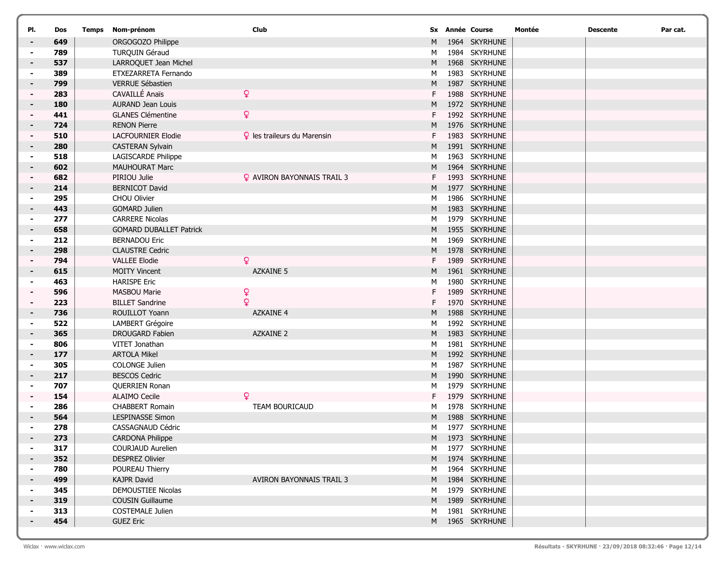| PI.            | Dos        | Temps Nom-prénom                               | Club                               |        | <b>Sx Année Course</b>         | Montée | <b>Descente</b> | Par cat. |
|----------------|------------|------------------------------------------------|------------------------------------|--------|--------------------------------|--------|-----------------|----------|
| $\blacksquare$ | 649        | ORGOGOZO Philippe                              |                                    | M      | 1964 SKYRHUNE                  |        |                 |          |
| $\sim$         | 789        | TURQUIN Géraud                                 |                                    | M      | 1984 SKYRHUNE                  |        |                 |          |
| $\blacksquare$ | 537        | LARROQUET Jean Michel                          |                                    | M      | 1968 SKYRHUNE                  |        |                 |          |
|                | 389        | ETXEZARRETA Fernando                           |                                    | M      | 1983 SKYRHUNE                  |        |                 |          |
| $\blacksquare$ | 799        | <b>VERRUE Sébastien</b>                        |                                    | M      | 1987 SKYRHUNE                  |        |                 |          |
|                | 283        | CAVAILLÉ Anaïs                                 | $\mathsf{Q}$                       | F.     | 1988 SKYRHUNE                  |        |                 |          |
| $\blacksquare$ | 180        | <b>AURAND Jean Louis</b>                       |                                    | M      | 1972 SKYRHUNE                  |        |                 |          |
|                | 441        | <b>GLANES Clémentine</b>                       | Q.                                 | F.     | 1992 SKYRHUNE                  |        |                 |          |
|                | 724        | <b>RENON Pierre</b>                            |                                    | M      | 1976 SKYRHUNE                  |        |                 |          |
| $\blacksquare$ | 510        | <b>LACFOURNIER Elodie</b>                      | <b>9</b> les traileurs du Marensin |        | 1983 SKYRHUNE                  |        |                 |          |
|                | 280        | <b>CASTERAN Sylvain</b>                        |                                    | M      | 1991 SKYRHUNE                  |        |                 |          |
| $\blacksquare$ | 518        | LAGISCARDE Philippe                            |                                    | м      | 1963 SKYRHUNE                  |        |                 |          |
|                | 602        | MAUHOURAT Marc                                 |                                    | M      | 1964 SKYRHUNE                  |        |                 |          |
|                | 682        | PIRIOU Julie                                   | <b>Q</b> AVIRON BAYONNAIS TRAIL 3  | F      | 1993 SKYRHUNE                  |        |                 |          |
|                | 214        | <b>BERNICOT David</b>                          |                                    | M      | 1977 SKYRHUNE                  |        |                 |          |
|                | 295        | CHOU Olivier                                   |                                    | M      | 1986 SKYRHUNE                  |        |                 |          |
| $\blacksquare$ | 443        | <b>GOMARD Julien</b>                           |                                    | M      | 1983 SKYRHUNE                  |        |                 |          |
|                | 277        | <b>CARRERE Nicolas</b>                         |                                    | M      | 1979 SKYRHUNE<br>1955 SKYRHUNE |        |                 |          |
| $\blacksquare$ | 658        | <b>GOMARD DUBALLET Patrick</b>                 |                                    | M      | 1969 SKYRHUNE                  |        |                 |          |
| ۰              | 212<br>298 | <b>BERNADOU Eric</b><br><b>CLAUSTRE Cedric</b> |                                    | М<br>M | 1978 SKYRHUNE                  |        |                 |          |
| ۰              | 794        | <b>VALLEE Elodie</b>                           | ò                                  | F      | 1989 SKYRHUNE                  |        |                 |          |
| $\blacksquare$ | 615        | <b>MOITY Vincent</b>                           | <b>AZKAINE 5</b>                   | M      | 1961 SKYRHUNE                  |        |                 |          |
|                | 463        | <b>HARISPE Eric</b>                            |                                    | м      | 1980 SKYRHUNE                  |        |                 |          |
|                | 596        | <b>MASBOU Marie</b>                            | ¥                                  | F      | 1989 SKYRHUNE                  |        |                 |          |
|                | 223        | <b>BILLET Sandrine</b>                         | $\mathbf{Q}$                       | F      | 1970 SKYRHUNE                  |        |                 |          |
| $\blacksquare$ | 736        | ROUILLOT Yoann                                 | <b>AZKAINE 4</b>                   | M      | 1988 SKYRHUNE                  |        |                 |          |
| ۰              | 522        | LAMBERT Grégoire                               |                                    | M      | 1992 SKYRHUNE                  |        |                 |          |
|                | 365        | <b>DROUGARD Fabien</b>                         | <b>AZKAINE 2</b>                   | M      | 1983 SKYRHUNE                  |        |                 |          |
|                | 806        | VITET Jonathan                                 |                                    | м      | 1981 SKYRHUNE                  |        |                 |          |
| $\blacksquare$ | 177        | <b>ARTOLA Mikel</b>                            |                                    | M      | 1992 SKYRHUNE                  |        |                 |          |
| $\blacksquare$ | 305        | COLONGE Julien                                 |                                    | M      | 1987 SKYRHUNE                  |        |                 |          |
| ۰              | 217        | <b>BESCOS Cedric</b>                           |                                    | M      | 1990 SKYRHUNE                  |        |                 |          |
|                | 707        | QUERRIEN Ronan                                 |                                    | М      | 1979 SKYRHUNE                  |        |                 |          |
|                | 154        | <b>ALAIMO Cecile</b>                           | Q                                  | F      | 1979 SKYRHUNE                  |        |                 |          |
| $\blacksquare$ | 286        | <b>CHABBERT Romain</b>                         | <b>TEAM BOURICAUD</b>              | M      | 1978 SKYRHUNE                  |        |                 |          |
|                | 564        | <b>LESPINASSE Simon</b>                        |                                    | M      | 1988 SKYRHUNE                  |        |                 |          |
|                | 278        | CASSAGNAUD Cédric                              |                                    | М      | 1977 SKYRHUNE                  |        |                 |          |
|                | 273        | <b>CARDONA Philippe</b>                        |                                    |        | M 1973 SKYRHUNE                |        |                 |          |
|                | 317        | COURJAUD Aurelien                              |                                    | M      | 1977 SKYRHUNE                  |        |                 |          |
|                | 352        | <b>DESPREZ Olivier</b>                         |                                    |        | M 1974 SKYRHUNE                |        |                 |          |
|                | 780        | POUREAU Thierry                                |                                    | M      | 1964 SKYRHUNE                  |        |                 |          |
| $\blacksquare$ | 499        | <b>KAJPR David</b>                             | <b>AVIRON BAYONNAIS TRAIL 3</b>    | M      | 1984 SKYRHUNE                  |        |                 |          |
|                | 345        | DEMOUSTIEE Nicolas                             |                                    | М      | 1979 SKYRHUNE                  |        |                 |          |
|                | 319        | COUSIN Guillaume                               |                                    | M      | 1989 SKYRHUNE                  |        |                 |          |
| $\blacksquare$ | 313        | COSTEMALE Julien                               |                                    | M      | 1981 SKYRHUNE                  |        |                 |          |
|                | 454        | <b>GUEZ Eric</b>                               |                                    |        | M 1965 SKYRHUNE                |        |                 |          |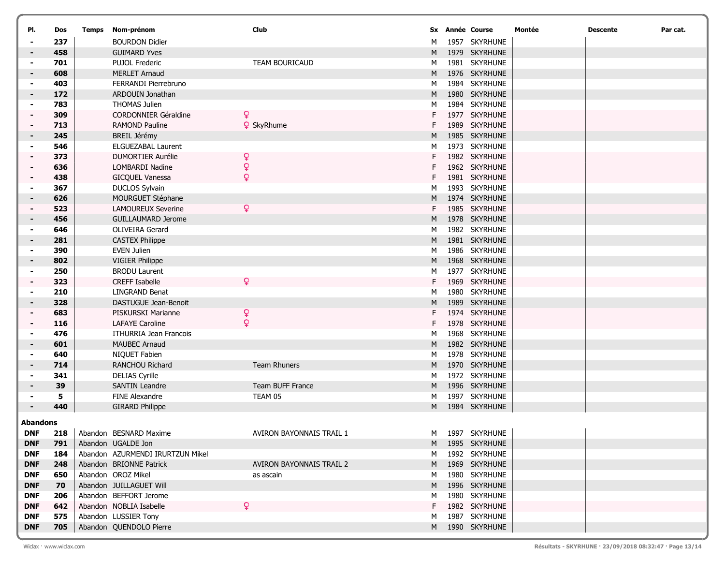| Dos             | Temps                                                                         |                             | <b>Club</b>                                                                                                                                                                                                                                                                                                                                                                                                                                                                                                                                                                                                                      |                                                                                                               |                                           | Montée                                                                                                                                                                                                                                                                                                                                                                                                                                                                                                                                                                                                                                                                                                                                                                                                              | <b>Descente</b> | Par cat. |
|-----------------|-------------------------------------------------------------------------------|-----------------------------|----------------------------------------------------------------------------------------------------------------------------------------------------------------------------------------------------------------------------------------------------------------------------------------------------------------------------------------------------------------------------------------------------------------------------------------------------------------------------------------------------------------------------------------------------------------------------------------------------------------------------------|---------------------------------------------------------------------------------------------------------------|-------------------------------------------|---------------------------------------------------------------------------------------------------------------------------------------------------------------------------------------------------------------------------------------------------------------------------------------------------------------------------------------------------------------------------------------------------------------------------------------------------------------------------------------------------------------------------------------------------------------------------------------------------------------------------------------------------------------------------------------------------------------------------------------------------------------------------------------------------------------------|-----------------|----------|
| 237             |                                                                               | <b>BOURDON Didier</b>       |                                                                                                                                                                                                                                                                                                                                                                                                                                                                                                                                                                                                                                  | M                                                                                                             |                                           |                                                                                                                                                                                                                                                                                                                                                                                                                                                                                                                                                                                                                                                                                                                                                                                                                     |                 |          |
| 458             |                                                                               | <b>GUIMARD Yves</b>         |                                                                                                                                                                                                                                                                                                                                                                                                                                                                                                                                                                                                                                  | M                                                                                                             |                                           |                                                                                                                                                                                                                                                                                                                                                                                                                                                                                                                                                                                                                                                                                                                                                                                                                     |                 |          |
| 701             |                                                                               | <b>PUJOL Frederic</b>       | <b>TEAM BOURICAUD</b>                                                                                                                                                                                                                                                                                                                                                                                                                                                                                                                                                                                                            | M                                                                                                             |                                           |                                                                                                                                                                                                                                                                                                                                                                                                                                                                                                                                                                                                                                                                                                                                                                                                                     |                 |          |
| 608             |                                                                               | <b>MERLET Arnaud</b>        |                                                                                                                                                                                                                                                                                                                                                                                                                                                                                                                                                                                                                                  | M                                                                                                             |                                           |                                                                                                                                                                                                                                                                                                                                                                                                                                                                                                                                                                                                                                                                                                                                                                                                                     |                 |          |
| 403             |                                                                               | FERRANDI Pierrebruno        |                                                                                                                                                                                                                                                                                                                                                                                                                                                                                                                                                                                                                                  | М                                                                                                             |                                           |                                                                                                                                                                                                                                                                                                                                                                                                                                                                                                                                                                                                                                                                                                                                                                                                                     |                 |          |
| 172             |                                                                               | ARDOUIN Jonathan            |                                                                                                                                                                                                                                                                                                                                                                                                                                                                                                                                                                                                                                  | M                                                                                                             |                                           |                                                                                                                                                                                                                                                                                                                                                                                                                                                                                                                                                                                                                                                                                                                                                                                                                     |                 |          |
| 783             |                                                                               | <b>THOMAS Julien</b>        |                                                                                                                                                                                                                                                                                                                                                                                                                                                                                                                                                                                                                                  | М                                                                                                             |                                           |                                                                                                                                                                                                                                                                                                                                                                                                                                                                                                                                                                                                                                                                                                                                                                                                                     |                 |          |
| 309             |                                                                               | <b>CORDONNIER Géraldine</b> |                                                                                                                                                                                                                                                                                                                                                                                                                                                                                                                                                                                                                                  | F                                                                                                             |                                           |                                                                                                                                                                                                                                                                                                                                                                                                                                                                                                                                                                                                                                                                                                                                                                                                                     |                 |          |
| 713             |                                                                               | <b>RAMOND Pauline</b>       |                                                                                                                                                                                                                                                                                                                                                                                                                                                                                                                                                                                                                                  |                                                                                                               |                                           |                                                                                                                                                                                                                                                                                                                                                                                                                                                                                                                                                                                                                                                                                                                                                                                                                     |                 |          |
| 245             |                                                                               | <b>BREIL Jérémy</b>         |                                                                                                                                                                                                                                                                                                                                                                                                                                                                                                                                                                                                                                  | M                                                                                                             |                                           |                                                                                                                                                                                                                                                                                                                                                                                                                                                                                                                                                                                                                                                                                                                                                                                                                     |                 |          |
| 546             |                                                                               | <b>ELGUEZABAL Laurent</b>   |                                                                                                                                                                                                                                                                                                                                                                                                                                                                                                                                                                                                                                  | М                                                                                                             |                                           |                                                                                                                                                                                                                                                                                                                                                                                                                                                                                                                                                                                                                                                                                                                                                                                                                     |                 |          |
| 373             |                                                                               | <b>DUMORTIER Aurélie</b>    |                                                                                                                                                                                                                                                                                                                                                                                                                                                                                                                                                                                                                                  |                                                                                                               |                                           |                                                                                                                                                                                                                                                                                                                                                                                                                                                                                                                                                                                                                                                                                                                                                                                                                     |                 |          |
| 636             |                                                                               | LOMBARDI Nadine             |                                                                                                                                                                                                                                                                                                                                                                                                                                                                                                                                                                                                                                  |                                                                                                               |                                           |                                                                                                                                                                                                                                                                                                                                                                                                                                                                                                                                                                                                                                                                                                                                                                                                                     |                 |          |
| 438             |                                                                               | GICQUEL Vanessa             |                                                                                                                                                                                                                                                                                                                                                                                                                                                                                                                                                                                                                                  | F                                                                                                             |                                           |                                                                                                                                                                                                                                                                                                                                                                                                                                                                                                                                                                                                                                                                                                                                                                                                                     |                 |          |
| 367             |                                                                               | <b>DUCLOS Sylvain</b>       |                                                                                                                                                                                                                                                                                                                                                                                                                                                                                                                                                                                                                                  | M                                                                                                             |                                           |                                                                                                                                                                                                                                                                                                                                                                                                                                                                                                                                                                                                                                                                                                                                                                                                                     |                 |          |
| 626             |                                                                               | MOURGUET Stéphane           |                                                                                                                                                                                                                                                                                                                                                                                                                                                                                                                                                                                                                                  | M                                                                                                             |                                           |                                                                                                                                                                                                                                                                                                                                                                                                                                                                                                                                                                                                                                                                                                                                                                                                                     |                 |          |
| 523             |                                                                               | <b>LAMOUREUX Severine</b>   |                                                                                                                                                                                                                                                                                                                                                                                                                                                                                                                                                                                                                                  | F                                                                                                             |                                           |                                                                                                                                                                                                                                                                                                                                                                                                                                                                                                                                                                                                                                                                                                                                                                                                                     |                 |          |
| 456             |                                                                               | <b>GUILLAUMARD Jerome</b>   |                                                                                                                                                                                                                                                                                                                                                                                                                                                                                                                                                                                                                                  | M                                                                                                             |                                           |                                                                                                                                                                                                                                                                                                                                                                                                                                                                                                                                                                                                                                                                                                                                                                                                                     |                 |          |
| 646             |                                                                               | <b>OLIVEIRA Gerard</b>      |                                                                                                                                                                                                                                                                                                                                                                                                                                                                                                                                                                                                                                  | M                                                                                                             |                                           |                                                                                                                                                                                                                                                                                                                                                                                                                                                                                                                                                                                                                                                                                                                                                                                                                     |                 |          |
| 281             |                                                                               | <b>CASTEX Philippe</b>      |                                                                                                                                                                                                                                                                                                                                                                                                                                                                                                                                                                                                                                  | M                                                                                                             |                                           |                                                                                                                                                                                                                                                                                                                                                                                                                                                                                                                                                                                                                                                                                                                                                                                                                     |                 |          |
| 390             |                                                                               | <b>EVEN Julien</b>          |                                                                                                                                                                                                                                                                                                                                                                                                                                                                                                                                                                                                                                  | М                                                                                                             |                                           |                                                                                                                                                                                                                                                                                                                                                                                                                                                                                                                                                                                                                                                                                                                                                                                                                     |                 |          |
| 802             |                                                                               |                             |                                                                                                                                                                                                                                                                                                                                                                                                                                                                                                                                                                                                                                  | M                                                                                                             |                                           |                                                                                                                                                                                                                                                                                                                                                                                                                                                                                                                                                                                                                                                                                                                                                                                                                     |                 |          |
| 250             |                                                                               |                             |                                                                                                                                                                                                                                                                                                                                                                                                                                                                                                                                                                                                                                  | М                                                                                                             |                                           |                                                                                                                                                                                                                                                                                                                                                                                                                                                                                                                                                                                                                                                                                                                                                                                                                     |                 |          |
|                 |                                                                               |                             |                                                                                                                                                                                                                                                                                                                                                                                                                                                                                                                                                                                                                                  | F                                                                                                             |                                           |                                                                                                                                                                                                                                                                                                                                                                                                                                                                                                                                                                                                                                                                                                                                                                                                                     |                 |          |
| 210             |                                                                               | <b>LINGRAND Benat</b>       |                                                                                                                                                                                                                                                                                                                                                                                                                                                                                                                                                                                                                                  | M                                                                                                             |                                           |                                                                                                                                                                                                                                                                                                                                                                                                                                                                                                                                                                                                                                                                                                                                                                                                                     |                 |          |
|                 |                                                                               |                             |                                                                                                                                                                                                                                                                                                                                                                                                                                                                                                                                                                                                                                  | M                                                                                                             |                                           |                                                                                                                                                                                                                                                                                                                                                                                                                                                                                                                                                                                                                                                                                                                                                                                                                     |                 |          |
|                 |                                                                               |                             |                                                                                                                                                                                                                                                                                                                                                                                                                                                                                                                                                                                                                                  |                                                                                                               |                                           |                                                                                                                                                                                                                                                                                                                                                                                                                                                                                                                                                                                                                                                                                                                                                                                                                     |                 |          |
|                 |                                                                               |                             |                                                                                                                                                                                                                                                                                                                                                                                                                                                                                                                                                                                                                                  |                                                                                                               |                                           |                                                                                                                                                                                                                                                                                                                                                                                                                                                                                                                                                                                                                                                                                                                                                                                                                     |                 |          |
|                 |                                                                               |                             |                                                                                                                                                                                                                                                                                                                                                                                                                                                                                                                                                                                                                                  | M                                                                                                             |                                           |                                                                                                                                                                                                                                                                                                                                                                                                                                                                                                                                                                                                                                                                                                                                                                                                                     |                 |          |
|                 |                                                                               |                             |                                                                                                                                                                                                                                                                                                                                                                                                                                                                                                                                                                                                                                  |                                                                                                               |                                           |                                                                                                                                                                                                                                                                                                                                                                                                                                                                                                                                                                                                                                                                                                                                                                                                                     |                 |          |
|                 |                                                                               |                             |                                                                                                                                                                                                                                                                                                                                                                                                                                                                                                                                                                                                                                  |                                                                                                               |                                           |                                                                                                                                                                                                                                                                                                                                                                                                                                                                                                                                                                                                                                                                                                                                                                                                                     |                 |          |
|                 |                                                                               |                             |                                                                                                                                                                                                                                                                                                                                                                                                                                                                                                                                                                                                                                  |                                                                                                               |                                           |                                                                                                                                                                                                                                                                                                                                                                                                                                                                                                                                                                                                                                                                                                                                                                                                                     |                 |          |
|                 |                                                                               |                             |                                                                                                                                                                                                                                                                                                                                                                                                                                                                                                                                                                                                                                  |                                                                                                               |                                           |                                                                                                                                                                                                                                                                                                                                                                                                                                                                                                                                                                                                                                                                                                                                                                                                                     |                 |          |
|                 |                                                                               |                             |                                                                                                                                                                                                                                                                                                                                                                                                                                                                                                                                                                                                                                  |                                                                                                               |                                           |                                                                                                                                                                                                                                                                                                                                                                                                                                                                                                                                                                                                                                                                                                                                                                                                                     |                 |          |
|                 |                                                                               |                             |                                                                                                                                                                                                                                                                                                                                                                                                                                                                                                                                                                                                                                  |                                                                                                               |                                           |                                                                                                                                                                                                                                                                                                                                                                                                                                                                                                                                                                                                                                                                                                                                                                                                                     |                 |          |
|                 |                                                                               |                             |                                                                                                                                                                                                                                                                                                                                                                                                                                                                                                                                                                                                                                  |                                                                                                               |                                           |                                                                                                                                                                                                                                                                                                                                                                                                                                                                                                                                                                                                                                                                                                                                                                                                                     |                 |          |
| <b>Abandons</b> |                                                                               |                             |                                                                                                                                                                                                                                                                                                                                                                                                                                                                                                                                                                                                                                  |                                                                                                               |                                           |                                                                                                                                                                                                                                                                                                                                                                                                                                                                                                                                                                                                                                                                                                                                                                                                                     |                 |          |
| 218             |                                                                               |                             | AVIRON BAYONNAIS TRAIL 1                                                                                                                                                                                                                                                                                                                                                                                                                                                                                                                                                                                                         | M                                                                                                             |                                           |                                                                                                                                                                                                                                                                                                                                                                                                                                                                                                                                                                                                                                                                                                                                                                                                                     |                 |          |
| 791             |                                                                               |                             |                                                                                                                                                                                                                                                                                                                                                                                                                                                                                                                                                                                                                                  | M                                                                                                             |                                           |                                                                                                                                                                                                                                                                                                                                                                                                                                                                                                                                                                                                                                                                                                                                                                                                                     |                 |          |
| 184             |                                                                               |                             |                                                                                                                                                                                                                                                                                                                                                                                                                                                                                                                                                                                                                                  | м                                                                                                             |                                           |                                                                                                                                                                                                                                                                                                                                                                                                                                                                                                                                                                                                                                                                                                                                                                                                                     |                 |          |
| 248             |                                                                               |                             | AVIRON BAYONNAIS TRAIL 2                                                                                                                                                                                                                                                                                                                                                                                                                                                                                                                                                                                                         | M                                                                                                             |                                           |                                                                                                                                                                                                                                                                                                                                                                                                                                                                                                                                                                                                                                                                                                                                                                                                                     |                 |          |
| 650             |                                                                               |                             | as ascain                                                                                                                                                                                                                                                                                                                                                                                                                                                                                                                                                                                                                        | M                                                                                                             |                                           |                                                                                                                                                                                                                                                                                                                                                                                                                                                                                                                                                                                                                                                                                                                                                                                                                     |                 |          |
| 70              |                                                                               |                             |                                                                                                                                                                                                                                                                                                                                                                                                                                                                                                                                                                                                                                  | M                                                                                                             |                                           |                                                                                                                                                                                                                                                                                                                                                                                                                                                                                                                                                                                                                                                                                                                                                                                                                     |                 |          |
| 206             |                                                                               |                             |                                                                                                                                                                                                                                                                                                                                                                                                                                                                                                                                                                                                                                  | м                                                                                                             |                                           |                                                                                                                                                                                                                                                                                                                                                                                                                                                                                                                                                                                                                                                                                                                                                                                                                     |                 |          |
| 642             |                                                                               |                             |                                                                                                                                                                                                                                                                                                                                                                                                                                                                                                                                                                                                                                  | F.                                                                                                            |                                           |                                                                                                                                                                                                                                                                                                                                                                                                                                                                                                                                                                                                                                                                                                                                                                                                                     |                 |          |
| 575             |                                                                               |                             |                                                                                                                                                                                                                                                                                                                                                                                                                                                                                                                                                                                                                                  | м                                                                                                             |                                           |                                                                                                                                                                                                                                                                                                                                                                                                                                                                                                                                                                                                                                                                                                                                                                                                                     |                 |          |
| 705             |                                                                               |                             |                                                                                                                                                                                                                                                                                                                                                                                                                                                                                                                                                                                                                                  | M                                                                                                             |                                           |                                                                                                                                                                                                                                                                                                                                                                                                                                                                                                                                                                                                                                                                                                                                                                                                                     |                 |          |
|                 | 323<br>328<br>683<br>116<br>476<br>601<br>640<br>714<br>341<br>39<br>5<br>440 |                             | Nom-prénom<br><b>VIGIER Philippe</b><br><b>BRODU Laurent</b><br><b>CREFF Isabelle</b><br>DASTUGUE Jean-Benoit<br>PISKURSKI Marianne<br><b>LAFAYE Caroline</b><br>ITHURRIA Jean Francois<br><b>MAUBEC Arnaud</b><br>NIQUET Fabien<br>RANCHOU Richard<br><b>DELIAS Cyrille</b><br><b>SANTIN Leandre</b><br><b>FINE Alexandre</b><br><b>GIRARD Philippe</b><br>Abandon BESNARD Maxime<br>Abandon UGALDE Jon<br>Abandon AZURMENDI IRURTZUN Mikel<br>Abandon BRIONNE Patrick<br>Abandon OROZ Mikel<br>Abandon JUILLAGUET Will<br>Abandon BEFFORT Jerome<br>Abandon NOBLIA Isabelle<br>Abandon LUSSIER Tony<br>Abandon QUENDOLO Pierre | <b>9</b> SkyRhume<br>Q<br>ò<br>Q<br>ò<br>Q<br>$\mathsf Q$<br>ò<br>Team Rhuners<br>Team BUFF France<br>TEAM 05 | F<br>F<br>M<br>М<br>M<br>M<br>M<br>М<br>M | <b>Sx Année Course</b><br>1957 SKYRHUNE<br>1979 SKYRHUNE<br>1981 SKYRHUNE<br>1976 SKYRHUNE<br>1984 SKYRHUNE<br>1980 SKYRHUNE<br>1984 SKYRHUNE<br>1977 SKYRHUNE<br>1989 SKYRHUNE<br>1985 SKYRHUNE<br>1973 SKYRHUNE<br>1982 SKYRHUNE<br>1962 SKYRHUNE<br>1981 SKYRHUNE<br>1993 SKYRHUNE<br>1974 SKYRHUNE<br>1985 SKYRHUNE<br>1978 SKYRHUNE<br>1982 SKYRHUNE<br>1981 SKYRHUNE<br>1986 SKYRHUNE<br>1968 SKYRHUNE<br>1977 SKYRHUNE<br>1969 SKYRHUNE<br>1980 SKYRHUNE<br>1989 SKYRHUNE<br>1974 SKYRHUNE<br>1978 SKYRHUNE<br>1968 SKYRHUNE<br>1982 SKYRHUNE<br>1978 SKYRHUNE<br>1970 SKYRHUNE<br>1972 SKYRHUNE<br>1996 SKYRHUNE<br>1997 SKYRHUNE<br>1984 SKYRHUNE<br>1995 SKYRHUNE<br>1992 SKYRHUNE<br>1969 SKYRHUNE<br>1980 SKYRHUNE<br>1996 SKYRHUNE<br>1980 SKYRHUNE<br>1982 SKYRHUNE<br>1987 SKYRHUNE<br>1990 SKYRHUNE | 1997 SKYRHUNE   |          |